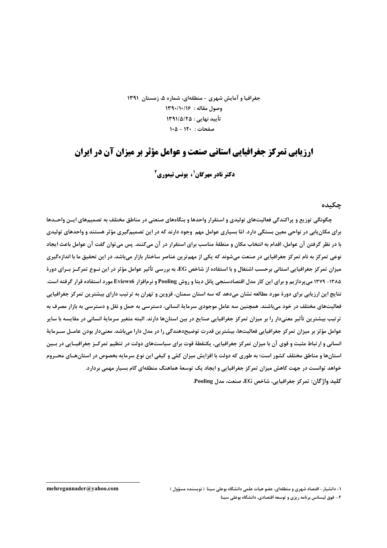جغرافیا و آمایش شهری - منطقهای، شماره ۵، زمستان ۱۳۹۱ وصول مقاله: ١٣٩٠/١٠/١۶ تأييد نهايي : ١٣٩١/٥/٢٥ صفحات: ١٢٠ - ١٠٥

## ارزیابی تمرکز جغرافیایی استانی صنعت و عوامل مؤثر بر میزان آن در ایران

**دکتر نادر مهرگان'، یونس تیموری<sup>2</sup>** 

چکىدە

چگونگی توزیع و پراکندگی فعالیتهای تولیدی و استقرار واحدها و بنگاههای صنعتی در مناطق مختلف به تصمیمهای ایــن واحــدها برای مکان بابی در نواحی معین بستگی دارد. امّا بسیاری عوامل مهم وجود دارند که در این تصمیمگیری مؤثر هستند و واحدهای تولیدی با در نظر گرفتن آن عوامل، اقدام به انتخاب مکان و منطقهٔ مناسب برای استقرار در آن میکنند. پس می توان گفت آن عوامل باعث ایجاد نوعی تمرکز به نام تمرکز جغرافیایی در صنعت میشوند که یکی از مهم ترین عناصر ساختار بازار میباشد. در این تحقیق ما با اندازهگیری میزان تمرکز جغرافیایی استانی برحسب اشتغال و با استفاده از شاخص EG، به بررسی تأثیر عوامل مؤثر در این نـوع تمرکـز بـرای دورهٔ ۱۳۸۵- ۱۳۷۹ می پردازیم و برای این کار مدل اقتصادسنجی پانل دیتا و روش Pooling و نرمافزار Eviews6 مورد استفاده قرار گرفته است. نتايج اين ارزيابي براي دورهٔ مورد مطالعه نشان ميدهد که سه استان سمنان، قزوين و تهران به ترتيب داراي بيشترين تمرکز جغرافيايي فعالیتهای مختلف در خود میباشند. همچنین سه عامل موجودی سرمایهٔ انسانی، دسترسی به حمل و نقل و دسترسی به بازار مصرف به ترتیب بیشترین تأثیر معنیدار را بر میزان تمرکز جغرافیایی صنایع در بین استانها دارند. البته متغیر سرمایهٔ انسانی در مقایسه با سایر عوامل مؤثر بر میزان تمرکز جغرافیایی فعالیتها، بیشترین قدرت توضیحدهندگی را در مدل دارا میباشد. معنیدار بودن عامــل ســرمایهٔ انسانی و ارتباط مثبت و قوی آن با میزان تمرکز جغرافیایی، یکنقطهٔ قوت برای سیاستهای دولت در تنظیم تمرکـز جغرافیـایی در بـین استانها و مناطق مختلف کشور است؛ به طوری که دولت با افزایش میزان کمّی و کیفی این نوع سرمایه بخصوص در استانهـای محـروم خواهد توانست در جهت کاهش میزان تمرکز جغرافیایی و ایجاد یک توسعهٔ هماهنگ منطقهای گام بسیار مهمی بردارد. كليد واژگان: تمركز جغرافيايي، شاخص EG، صنعت، مدل Pooling.

mehregannader@yahoo.com

۱- دانشیار – اقتصاد شهری و منطقهای، عضو هیات علمی دانشگاه بوعلی سینا ( نویسنده مسؤول ) ۲- فوق لیسانس برنامه ریزی و توسعه اقتصادی، دانشگاه بوعلی سینا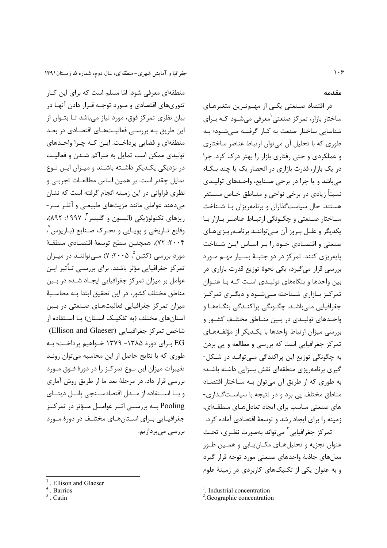منطقهای معرفی شود. امّا مسلم است که برای این کـار

تئوریهای اقتصادی و مـورد توجـه قـرار دادن آنهـا در

بیان نظری تمرکز فوق، مورد نیاز مے باشد تـا بتـوان از

این طریق بـه بررسـی فعالیـتهـای اقتصـادی در بعـد

منطقهای و فضایی پرداخت. ایـن کـه چـرا واحـدهای

تولیدی ممکن است تمایل به متراکم شـدن و فعالیـت

در نزدیکی یکـدیگر داشـته باشـند و میـزان ایـن نـوع

تمایل چقدر است. بر همین اساس مطالعـات تجربـی و

نظری فراوانی در این زمینه انجام گرفته است که نشان

می دهند عواملی مانند مزیتهای طبیعے و آثلـر سـر-

ریزهای تکنولوژیکی (الیسون و گلیسر <sup>۳</sup>، ۱۹۹۷: ۸۹۲)،

وقايع تـاريخي و پويـايي و تحـرک صـنايع (بـاريوس ٔ،

٢٠٠۴: ٧٢)، همچنين سطح توسعهٔ اقتصـادي منطقـهٔ

مورد بررسی (کتین<sup>۵</sup>، ۲۰۰۵: ۷) مے تواننـد در میـزان

تمرکز جغرافیایی مؤثر باشند. برای بررسـی تـأثیر ایـن

عوامل بر میزان تمرکز جغرافیایی ایجـاد شـده در بـین

مناطق مختلف كشور، در اين تحقيق ابتدا بـه محاسـبهٔ

میزان تمرکز جغرافیایی فعالیتهای صنعتی در بین

استانهای مختلف (به تفکیـک اسـتان) بـا اسـتفاده از

شاخص تمرکز جغرافیـایی (Ellison and Glaeser)

EG برای دورهٔ ۱۳۸۵- ۱۳۷۹ خـواهیم پرداخـت؛ بـه

طوری که با نتایج حاصل از این محاسبه می توان رونـد

تغییرات میزان این نـوع تمرکـز را در دورهٔ فـوق مـورد

بررسی قرار داد. در مرحلهٔ بعد ما از طریق روش آماری

و بــا اســتفاده از مــدل اقتصادســنجى يانــل ديتــاى

Pooling بــه بررســی اثــر عوامــل مــؤثر در تمرکــز

جغرافیـایی بـرای اسـتانهـای مختلـف در دورهٔ مـورد

بررسى مىپردازيم.

مقدمه

در اقتصاد صنعتی یکے از مهـمتـرین متغیرهـای ساختار بازار، تمرکز صنعتی <sup>(</sup>معرفی می شــود کــه بــرای شناسایی ساختار صنعت به کـار گرفتـه مـیشـود؛ بـه طوری که با تحلیل آن می توان ارتباط عناصر ساختاری و عملکردی و حتی رفتاری بازار را بهتر درک کرد. چرا در یک بازار، قدرت بازاری در انحصار یک یا چند بنگـاه می باشد و یا چرا در برخی صنایع، واحـدهای تولیـدی نسبتاً زیادی در برخی نواحی و منـاطق خـاص مسـتقر هستند. حال سیاستگذاران و برنامهریزان با شـناخت ساختار صنعتی و چگونگی ارتباط عناصر بازار با پکديگر و علـل بـروز آن مـي تواننـد برنامـه پـزيهـاي صنعتی و اقتصادی خـود را بـر اسـاس ايـن شـناخت پایهریزی کنند. تمرکز در دو جنبهٔ بسیار مهم مورد بررسی قرار می گیرد، یکی نحوهٔ توزیع قدرت بازاری در بین واحدها و بنگاههای تولیـدی اسـت کـه بـا عنـوان تمرکـز بـازاری شـناخته مـیشـود و دیگـری تمرکـز جغرافیایی مے باشـد. چگـونگی پراکنـدگی بنگـاههـا و واحـدهای تولیـدی در بـین منـاطق مختلـف کشـور و بررسی میزان ارتباط واحدها با یکـدیگر از مؤلفـههـای تمرکز جغرافیایی است که بررسی و مطالعه و پی بردن به چگونگی توزیع این پراکندگی مے توانـد در شـکل-گیری برنامهریزی منطقهای نقش بسزایی داشته باشـد؛ به طوري كه از طريق آن مي توان بـه سـاختار اقتصـاد مناطق مختلف یی برد و در نتیجه با سیاست گـذاری-های صنعتی مناسب برای ایجاد تعادل هـای منطقــهای، زمینه را برای ایجاد رشد و توسعهٔ اقتصادی آماده کرد. تمر کز جغرافیایی<sup>۲</sup> می تواند بهصورت نظـری، تحـت عنوان تجزیه و تحلیل هـای مکـان پـابی و همـین طـور مدلهای جاذبهٔ واحدهای صنعتی مورد توجه قرار گیرد و به عنوان یکی از تکنیکهای کاربردی در زمینهٔ علوم

Ellison and Glaeser

<sup>.</sup> Barrios

<sup>.</sup> Catin

<sup>&</sup>lt;sup>1</sup>. Industrial concentration

<sup>&</sup>lt;sup>2</sup>. Geographic concentration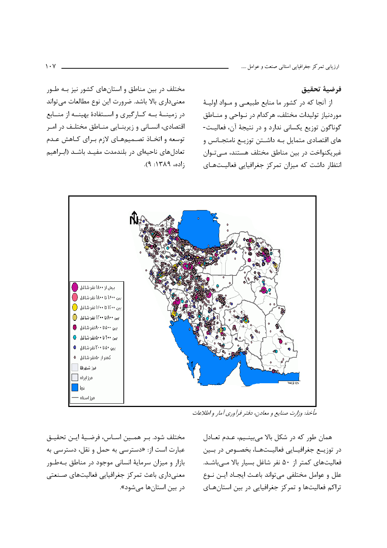فرضية تحقيق

از آنجا که در کشور ما منابع طبیعی و مـواد اولیـهٔ موردنیاز تولیدات مختلف، هرکدام در نـواحی و منــاطق گوناگون توزیع یکسانی ندارد و در نتیجهٔ آن، فعالیت-های اقتصادی متمایل بـه داشـتن توزیـع نامتجـانس و غیریکنواخت در بین مناطق مختلف هستند، مے توان انتظار داشت که میزان تمرکز جغرافیایی فعالیتهای

بیش از ۱۸۰۰ نفر شاغل (۲۰۰۰) بين ١٤٠٠ تا ١٨٠٠ نفر شاغل هو بین ۱۲۰۰ تا ۱۶۰۰ نفر شاغل ( بین ۸۰۰ تا ۱۲۰۰ نفر شاغل () بین ۵۰۰ تا ۸۰۰ نفر شاغل . بین ۲۰۰ تا ۵۰۰ نفر شاغل . . بین ۵۰تا ۲۰۰ نفر شاغل . • کمتر از ۵۰ نفر شاغل . ● مرز شهرها  $\Box$ مرز ایران | | | دريا <mark>ا</mark> مرز استان ۱

مأخذ: وزارت صنايع و معادن، دفتر فرآوري آمار و اطلاعات

مختلف شود. بـر همـين اسـاس، فرضـيهٔ ايـن تحقيـق عبارت است از: «دسترسی به حمل و نقل، دسترسی به بازار و میزان سرمایهٔ انسانی موجود در مناطق بهطور معنی داری باعث تمرکز جغرافیایی فعالیتهای صنعتی در بین استانها مے شود».

همان طور که در شکل بالا می بینـیم، عـدم تعـادل در توزیــع جغرافیــایی فعالیــتهــا، بخصــوص در بــین فعالیتهای کمتر از ۵۰ نفر شاغل بسیار بالا مـیباشـد. علل و عوامل مختلفي مي تواند باعـث ايجـاد ايــن نــوع تراکم فعالیتها و تمرکز جغرافیایی در بین استانهای

مختلف در بین مناطق و استانهای کشور نیز بـه طـور

معنىدارى بالا باشد. ضرورت اين نوع مطالعات مى تواند

در زمینــهٔ بــه کــارگیری و اســتفادهٔ بهینــه از منــابع

اقتصادی، انسـانی و زیربنـایی منـاطق مختلـف در امـر

توسعه و اتخـاذ تصـمیمهـای لازم بـرای کـاهش عـدم

تعادلهای ناحیهای در بلندمدت مفیـد باشـد (ابـراهیم

 $:150.7171: P$ ).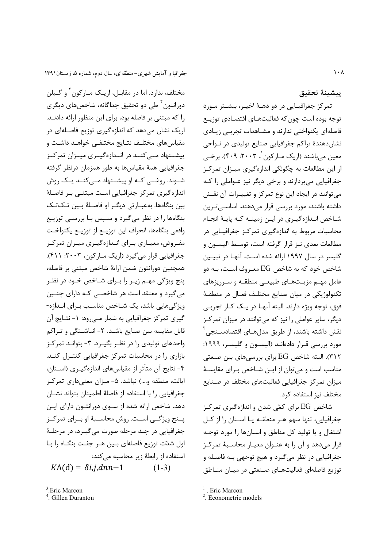يبشينة تحقيق

تمرکز جغرافیـایی در دو دهـهٔ اخیـر، بیشـتر مـورد توجه بوده است چون که فعالیتهـای اقتصـادی توزیـع فاصلهای یکنواختی ندارند و مشـاهدات تجربـی زیـادی نشان دهندهٔ تراکم جغرافیایی صنایع تولیدی در نـواحی معين مي باشند (اريک مــارکون '، ۲۰۰۳: ۴۰۹). برخــي از این مطالعات به چگونگی اندازهگیری میـزان تمرکـز جغرافیایی می پردازند و برخی دیگر نیز عـواملی را کـه می توانند در ایجاد این نوع تمرکز و تغییـرات آن نقـش داشته باشند، مورد بررسی قرار میدهند. اساســیتـرین شـاخص انـدازهگيـري در ايـن زمينــه كـه پايــهٔ انجـام محاسبات مربوط به اندازهگیری تمرکز جغرافیایی در مطالعات بعدی نیز قرار گرفته است، توسط الیسون و گلیسر در سال ۱۹۹۷ ارائه شده است. آنهـا در تبیـین شاخص خود که به شاخص EG معـروف اسـت، بــه دو عامل مهـم مزيـتهـاى طبيعـى منطقـه و سـرريزهاى تكنولوژيكي در ميان صنايع مختلـف فعـال در منطقـهٔ فوق، توجه ویژه دارند. البته آنهـا در یـک کـار تجربـی دیگر، سایر عواملی را نیز که می توانند در میزان تمرکز نقش داشته باشند، از طریق مدلهـای اقتصادســنجے ً مورد بررسی قـرار دادهانـد (الیسـون و گلیسـر، ۱۹۹۹: ۳۱۲). البته شاخص EG برای بررسی های بین صنعتی مناسب است و می توان از ایـن شـاخص بـرای مقایسـهٔ میزان تمرکز جغرافیایی فعالیتهای مختلف در صـنایع مختلف نیز استفاده کرد.

شاخص EG برای کمّی شدن و اندازهگیری تمرکـز جغرافیایی، تنها سهم هـر منطقـه یـا اسـتان را از کـل اشتغال و یا تولید کل مناطق و استانها را مورد توجـه قرار می دهد و آن را به عنوان معیار محاسـبهٔ تمرکـز جغرافیایی در نظر میگیرد و هیچ توجهی بـه فاصـله و توزیع فاصلهای فعالیتهـای صـنعتی در میـان منـاطق

مختلف، ندارد. اما در مقابـل، اریـک مـارکون ٔ و گـیلن دورانتون ٔ طی دو تحقیق جداگانه، شاخصهای دیگری را که مبتنی بر فاصله بود، برای این منظور ارائه دادنـد. اریک نشان میدهد که اندازهگیری توزیع فاصلهای در مقیاسهای مختلف نتـایج مختلفـی خواهـد داشـت و پیشــنهاد مــی کنــد در انــدازهگیــری میــزان تمرکــز جغرافیایی همهٔ مقیاسها به طور همزمان درنظر گرفته شـوند. روشــی کــه او پیشــنهاد مــیکنــد یــک روش اندازہ گیری تمرکز جغرافیایی است مبتنے بر فاصلهٔ بين بنگاهها. بهعبـارتي ديگـر او فاصـلهٔ بـين تـكتـك بنگاهها را در نظر می گیرد و سـپس بـا بررسـی توزیـع واقعي بنگاهها، انحراف اين توزيــع از توزيــع يكنواخـت مفـروض، معيــاري بــراي انــدازهگيــري ميــزان تمركــز جغرافيايي قرار مي گيرد (اريک مـارکون، ٢٠٠٣: ۴١١). همچنین دورانتون ضمن ارائهٔ شاخص مبتنی بر فاصله، ینج ویژگی مهـم زیـر را بـرای شـاخص خـود در نظـر می گیرد و معتقد است هر شاخصـی کـه دارای چنـین ویژگیهایی باشد، یک شـاخص مناسـب بـرای انـدازه-گیری تمرکز جغرافیایی به شمار مے رود: ۱- نتـایج آن قابل مقایسه بین صنایع باشـد. ۲- انباشـتگی و تـراکم واحدهای تولیدی را در نظـر بگیـرد. ۳- بتوانـد تمرکـز بازاری را در محاسبات تمرکز جغرافیایی کنترل کنـد. ۴- نتایج آن متأثر از مقیاسهای اندازهگیـری (اسـتان، ایالت، منطقه و....) نباشد. ۵- میزان معنیداری تمرکز جغرافیایی را با استفاده از فاصلهٔ اطمینان بتواند نشـان دهد. شاخص ارائه شده از ســوی دورانتــون دارای ایــن پـنج ویژگــی اسـت. روش محاســبهٔ او بــرای تمرکــز جغرافیایی در چند مرحله صورت میگیرد، در مرحلـهٔ اول شدّت توزیع فاصلهای بـین هـر جفـت بنگـاه را بـا استفاده از رابطهٔ زیر محاسبه میکند:  $KA(d) = \delta i, j, dnn-1$  $(1-3)$ 

<sup>.</sup> Eric Marcon

<sup>&</sup>lt;sup>2</sup>. Econometric models

<sup>&</sup>lt;sup>3</sup>. Eric Marcon

<sup>&</sup>lt;sup>4</sup>. Gillen Duranton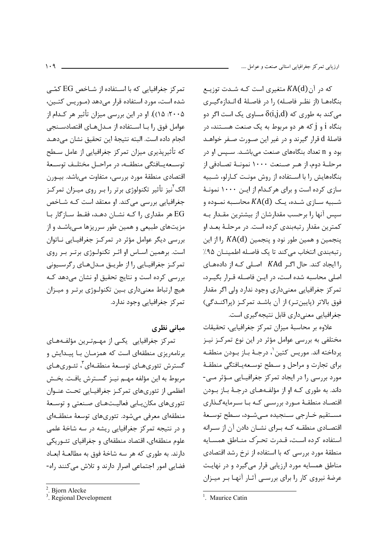که در آن KA(d) متغیری است کـه شـدت توزیـع بنگاههـا (از نظـر فاصـله) را در فاصـلهٔ d انـدازهگیـری مي کند به طوري که  $\delta$ i,j,d) مساوي يک است اگر دو بنگاه j و j که هر دو مربوط به یک صنعت هسـتند، در فاصلهٔ d قرار گیرند و در غیر این صـورت صـفر خواهـد بود و n تعداد بنگاههای صنعت میباشـد. سـپس او در مرحلــهٔ دوم، از هــر صــنعت ۱۰۰۰ نمونــهٔ تصــادفی از بنگاههایش را با استفاده از روش مونت کـارلو، شـبیه سازی کرده است و برای هر کـدام از ایـن ۱۰۰۰ نمونـهٔ شـبیه سـازی شـده، یـک  $\mathit{KA}(\mathrm{d})$  محاسـبه نمـوده و سپس آنها را برحسب مقدارشان از بیشترین مقـدار بـه كمترين مقدار رتبهبندي كرده است. در مرحلـهٔ بعـد او پنجمین و همین طور نود و پنجمین KA(d) را از این رتبهبندی انتخاب میکند تا یک فاصله اطمینان ۹۵٪ را ایجاد کند. حال اگر KAd اصلی که از دادههای اصلی محاسبه شده است، در ایـن فاصـله قـرار بگیـرد، تمر کز جغرافیایی معنی داری وجود ندارد ولی اگر مقدار فوق بالاتر (پایین تـر) از آن باشـد تمرکـز (پراکنـدگی) جغرافیایی معنیداری قابل نتیجهگیری است.

علاوه بر محاسبهٔ میزان تمرکز جغرافیایی، تحقیقات مختلفی به بررسی عوامل مؤثر در این نوع تمرکـز نیـز پرداخته اند. موريس كتين ٰ، درجـهٔ بـاز بــودن منطقــه برای تجارت و مراحل و سطح توسعه بافتگی منطقهٔ مورد بررسی را در ایجاد تمرکز جغرافیـایی مـؤثر مـی-داند. به طوری کـه او از مؤلفـههـای درجـهٔ بـاز بـودن اقتصـاد منطقـهٔ مـورد بررسـی کـه بـا سـرمایهگـذاری مسـتقيم خــارجي سـنجيده مــيشــود، ســطح توســعهٔ اقتصـادی منطقــه کــه بــرای نشــان دادن آن از ســرانه استفاده كرده است، قـدرت تحـرّك منـاطق همسـايه منطقهٔ مورد بررسی که با استفاده از نرخ رشد اقتصادی مناطق همسایه مورد ارزیابی قرار میگیرد و در نهایت عرضهٔ نیروی کار را برای بررسبی آثـار آنهـا بـر میـزان

<sup>1</sup> Maurice Catin

تمرکز جغرافیایی که با اسـتفاده از شــاخص EG کمّــی شده است، مورد استفاده قرار می دهد (موریس کتین، ۲۰۰۵: ۱۵)). او در این بررسی میزان تأثیر هر کـدام از عوامل فوق را بـا اسـتفاده از مـدلهـاي اقتصادسـنجي انجام داده است. البته نتيجة اين تحقيق نشان مي دهـد که تأثیرپذیری میزان تمرکز جغرافیایی از عامل سـطح توســعهيــافتگى منطقــه، در مراحــل مختلــف توســعهٔ اقتصادي منطقهٔ مورد بررسي، متفاوت ميباشد. بيــورن الک<sup>۲</sup>نیز تأثیر تکنولوژی برتر را بـر روی میـزان تمرکـز جغرافیایی بررسی میکند. او معتقد است کـه شـاخص EG هر مقداری را کـه نشـان دهـد، فقـط سـازگار بـا مزیتھای طبیعی و همین طور سرریزها مے باشـد و از بررسی دیگر عوامل مؤثر در تمرکےز جغرافیایی نـاتوان است. برهمین اسـاس او اثـر تکنولـوژی برتـر بـر روی تمرکز جغرافیایی را از طریق مدلهای رگرسیونی بررسی کرده است و نتایج تحقیق او نشان میدهد که هیچ ارتباط معنیداری بین تکنولوژی برتر و میزان تمرکز جغرافیایی وجود ندارد.

مبانی نظری

تمرکز جغرافیایی یکے از مهـمتـرین مؤلفـههـای برنامهریزی منطقهای است که همزمـان بـا پیـدایش و گسترش تئورىهـاى توسـعهٔ منطقـهاى ٌ، تئـورىهـاى مربوط به این مؤلفه مهـم نیـز گسـترش یافـت. بخـش اعظمی از تئوریهای تمرکز جغرافیایی تحت عنـوان تئوریهای مکان بابی فعالیـتهـای صـنعتی و توسـعهٔ منطقهای معرفی می شود. تئوریهای توسعهٔ منطقـهای و در نتیجه تمرکز جغرافیایی ریشه در سه شاخهٔ علمی علوم منطقهای، اقتصاد منطقهای و جغرافیای تئوریکی دارند. به طوري كه هر سه شاخهٔ فوق به مطالعـهٔ ابعـاد فضایی امور اجتماعی اصرار دارند و تلاش می کنند راه-

<sup>&</sup>lt;sup>2</sup>. Bjorn Alecke

<sup>&</sup>lt;sup>3</sup>. Regional Development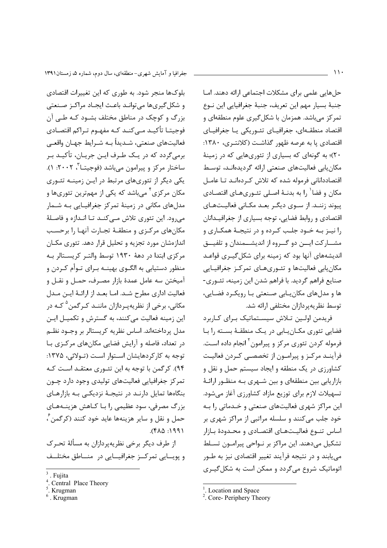بلوکها منجر شود. به طوری که این تغییرات اقتصادی و شکل گیریها می توانـد باعـث ایجـاد مراکـز صـنعتی بزرگ و کوچک در مناطق مختلف بشـود کـه طـی آن فوجیتـا تأکیـد مـی کنــد کــه مفهــوم تـراکم اقتصــادی فعالیتهای صنعتی، شـدیداً بـه شـرایط جهـان واقعــی برمی گردد که در یـک طـرف ایـن جریـان، تأکیـد بـر ساختار مرکز و پیرامون می باشد (فوجیتــا تی ۲۰۰۲: ۱). یکی دیگر از تئوریهای مرتبط در ایـن زمینـه تئـوری مکان مرکزی<sup>۲</sup> مے،باشد که یکی از مهمترین تئوریها و مدلهای مکانی در زمینهٔ تمرکز جغرافیـایی بـه شـمار می رود. این تئوری تلاش مے کنـد تـا انـدازه و فاصـلهٔ مكانهاي مركزي و منطقـهٔ تجـارت أنهـا را برحسـب اندازهشان مورد تجزیه و تحلیل قرار دهد. تئوری مکـان مرکزی ابتدا در دههٔ ۱۹۳۰ توسط والتـر کریسـتالر بـه منظور دستیابی به الگــوی بهینــه بــرای تــوأم کــردن و آميختن سه عامل عمدۀ بازار مصـرف، حمـل و نقـل و فعالیت اداری مطرح شـد. امـا بعـد از ارائـهٔ ایـن مـدل مکانی، برخی از نظریهیـردازان ماننــد کــرگمن<sup>۵</sup> کــه در این زمینه فعالیت می کنند، به گسترش و تکمیـل ایـن مدل پرداختهاند. اساس نظریه کریستالر بر وجــود نظــم در تعداد، فاصله و آرایش فضایی مکانهای مرکزی با توجه به کارکردهایشان استوار است (تـولائی، ۱۳۷۵: ۹۴). کړ گمن با توجه به این تئـوري معتقـد اسـت کـه تمرکز جغرافیایی فعالیتهای تولیدی وجود دارد چــون بنگاهها تمایل دارنـد در نتیجـهٔ نزدیکـی بـه بازارهـای بزرگ مصرفی، سود عظیمی را بـا کـاهش هزینــههـای حمل و نقل و ساير هزينهها عايد خود كنند (كرگمن ً،  $1991: \triangle A$ .

از طرف دیگر برخی نظریهپردازان به مسألهٔ تحـرک و پويسايي تمرکيز جغرافيسايي در منساطق مختليف

. Krugman

حلهایی علمی برای مشکلات اجتماعی ارائه دهند. امـا جنبهٔ بسیار مهم این تعریف، جنبهٔ جغرافیایی این نـوع تمرکز مے باشد. همزمان با شکل گیری علوم منطقهای و اقتصاد منطقـهای، جغرافیـای تئـوریکی یـا جغرافیـای اقتصادی یا به عرصه ظهور گذاشت (کلانتـری، ۱۳۸۰: ۲۰)؛ به گونهای که بسیاری از تئوریهایی که در زمینهٔ مکان یابی فعالیتهای صنعتی ارائه گردیدهانـد، توسـط اقتصاددانانی فرموله شده که تلاش کردهانـد تـا عامـل مکان و فضا ٰ را به بدنـهٔ اصـلی تئـوريهـاي اقتصـادي ییوند زننـد. از سـوی دیگـر بعـد مکـانی فعالیـتهـای اقتصادی و روابط فضایی، توجه بسیاری از جغرافیـدانان را نيـز بـه خـود جلـب كـرده و در نتيجـهٔ همكـاري و مشـــاركت ايـــن دو گـــروه از انديشـــمندان و تلفيـــق اندیشههای آنها بود که زمینه برای شکل گیـری قواعـد مکان یابی فعالیتها و تئوریهای تمرکز جغرافیایی صنایع فراهم گردید. با فراهم شدن این زمینه، تئـوری-ها و مدلهای مکان بابی صنعتی با رویکرد فضایی، توسط نظریهپردازان مختلفی ارائه شد.

فریدمن اولـین تـلاش سیسـتماتیک بـرای کـاربرد فضایی تئوری مکـان ِـابی در یـک منطقـهٔ بسـته را بـا فرموله کردن تئوری مرکز و پیرامون<sup>۲</sup> انجام داده است. فرآینــد مرکــز و پیرامــون از تخصصــی کــردن فعالیــت کشاورزی در یک منطقه و ایجاد سیستم حمل و نقل و بازاریابی بین منطقهای و بین شـهری بـه منظـور ارائـهٔ تسهیلات لازم برای توزیع مازاد کشاورزی آغاز میشود. این مراکز شهری فعالیتهای صنعتی و خـدماتی را بـه خود جلب میکنند و سلسله مراتبی از مراکز شهری بر اساس تنوع فعاليتهاى اقتصادى و محـدودة بـازار تشکیل میدهند. این مراکز بر نـواحی پیرامـون تسـلط می یابند و در نتیجه فرآیند تغییر اقتصادی نیز به طــور اتوماتیک شروع می گردد و ممکن است به شکل گیـری

Fuiita

Central Place Theory

Krugman

Location and Space

<sup>&</sup>lt;sup>2</sup>. Core- Periphery Theory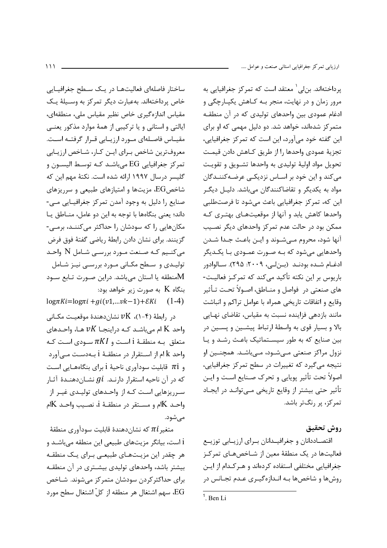ساختار فاصلهای فعالیتهـا در یـک سـطح جغرافیـایی خاص پرداختهاند. بهعبارت دیگر تمرکز به وسـیلهٔ یـک مقیاس اندازہگیری خاص نظیر مقیاس ملی، منطقهای، ایالتی و استانی و یا ترکیبی از همهٔ موارد مذکور یعنبی مقیــاس فاصــلهای مــورد ارزیــابی قــرار گرفتــه اســت. معروفترين شاخص ببراي ايبن كبار، شباخص ارزيبابي تمركز جغرافيايي EG مي باشـد كـه توسـط اليسـون و گلیسر درسال ۱۹۹۷ ارائه شده است. نکتهٔ مهم این که شاخصEG، مزیتها و امتیازهای طبیعی و سرریزهای صنایع را دلیل به وجود آمدن تمرکز جغرافیـایی مـی-داند؛ یعنی بنگاهها با توجه به این دو عامل، منـاطق یـا مکانهایی را که سودشان را حداکثر می کننـد، برمـی-گزینند. برای نشان دادن رابطهٔ ریاضی گفتهٔ فوق فرض میکنیم کـه صـنعت مـورد بررسـی شـامل N واحـد تولیـدی و سـطح مکـانی مـورد بررسـی نیـز شـامل منطقه یا استان میباشد. دراین صورت تـابع سـود $\rm M$ بنگاه $\rm{K}$  به صورت زیر خواهد بود:

 $log\pi Ki = log\pi i + gi(v1,...vk-1) + EKi$  (1-4)

 $v$ در رابطهٔ (۴–۱)،  $\delta$  نشان دهندهٔ موقعیت مکـانی واحد K ام میباشـد کـه دراینجـا  $\nu K$  هـا، واحـدهای متعلق بـه منطقـهٔ i اسـت و  $\pi K I$  سـودي اسـت كـه واحد k ام از اسـتقرار در منطقـهٔ i بـهدسـت مـىآورد و  $\pi$ i قابلیت سودآوری ناحیهٔ i برای بنگاههـایی اسـت که در آن ناحیه استقرار دارنـد.  $gi$  نشـاندهنـدهٔ آثـار سـرریزهایی اسـت کـه از واحـدهای تولیـدی غیـر از واحـد Kم و مسـتقر در منطقـهٔ i، نصـيب واحـد Ka مے شود.

متغير $\pi i$  كه نشاندهندهٔ قابليت سودآوري منطقهٔ i است، بیانگر مزیتهای طبیعی این منطقه میباشـد و هر چقدر این مزیـتهـای طبیعـی بـرای یـک منطقـه بیشتر باشد، واحدهای تولیدی بیشـتری در آن منطقـه برای حداکثر کردن سودشان متمرکز می شوند. شـاخص EG، سهم اشتغال هر منطقه از كلّ اشتغال سطح مورد

یرداختهاند. بن لی ` معتقد است که تمر کز جغرافیایی به مرور زمان و در نهايت، منجر بـه كـاهش يكيـارچگى و ادغام عمودی بین واحدهای تولیدی که در آن منطقـه متمر کز شدهاند، خواهد شد. دو دلیل مهمی که او برای این گفته خود میآورد، این است که تمرکز جغرافیایی، تجزيهٔ عمودي واحدها را از طريق كـاهش دادن قيمت تحویل مواد اولیهٔ تولیدی به واحدها تشـویق و تقویـت میکند و این خود بر اسـاس نزدیکـی عرضـهکننـدگان مواد به یکدیگر و تقاضاکنندگان میباشد. دلیـل دیگـر این که، تمرکز جغرافیایی باعث میشود تا فرصتطلبی واحدها كاهش يابد و آنها از موقعيتهـاي بهتـرى كـه ممکن بود در حالت عدم تمرکز واحدهای دیگر نصـیب آنها شود، محروم مـي شـوند و ايـن باعـث جـدا شـدن واحدهایی میشود که بـه صـورت عمـودی بـا یکـدیگر ادغـام شـده بودنـد (بـنلـى، ٢٠٠٩: ٢٩۵). سـالوادور باریوس بر این نکته تأکید میکند که تمرکـز فعالیـت-هاي صنعتي در فواصل و منــاطق، اصــولاً تحـت تــأثير وقايع و اتفاقات تاريخي همراه با عوامل تراكم و انباشت مانند بازدهی فزاینده نسبت به مقیاس، تقاضای نهـایی بالا و بسیار قوی به واسطهٔ ارتباط پیشـین و پسـین در بین صنایع که به طور سیستماتیک باعث رشد و یا نزول مراكز صنعتى مے شـود، مـى باشـد. همچنـين او نتيجه مي گيرد كه تغييرات در سطح تمركز جغرافيايي، اصولاً تحت تأثير پويايي و تحرک صـنايع اسـت و ايـن تأثیر حتی بیشتر از وقایع تاریخی مـیتوانـد در ایجـاد تمرکز، پر رنگتر باشد.

روش تحقيق

اقتصـاددانان و جغرافيـدانان بـراي ارزيـابي توزيــع فعالیتها در یک منطقهٔ معین از شـاخصهـای تمرکـز جغرافیایی مختلفی استفاده کردهاند و هـرکـدام از ایـن روشها و شاخصها بـه انـدازهگیـری عـدم تجـانس در

 $1$  Ben Li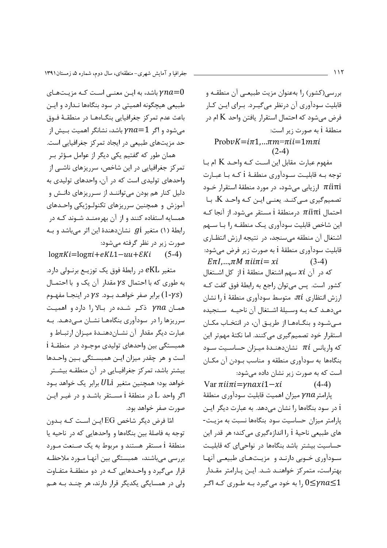باشد، به ایـن معنـی اسـت کـه مزیـتهـای  $\gamma na{=}0$ طبیعی هیچگونه اهمیتی در سود بنگاهها نـدارد و ایـن باعث عدم تمركز جغرافيايي بنگــاههـا در منطقــهٔ فــوق میشود و اگر  $a{=}1$  باشد، نشانگر اهمیت بـیش از حد مزیتهای طبیعی در ایجاد تمرکز جغرافیایی است. همان طور که گفتیم یکی دیگر از عوامل مـؤثر بـر تمرکز جغرافیایی در این شاخص، سرریزهای ناشــی از

واحدهای تولیدی است که در آن، واحدهای تولیدی به دلیل کنار هم بودن می تواننـد از سـرریزهای دانـش و آموزش و همچنین سرریزهای تکنولـوژیکی واحـدهای همسایه استفاده کنند و از آن بهرممنـد شـوند کـه در رابطهٔ (۱) متغیر gi نشاندهندهٔ این اثر میباشد و به صورت زیر در نظر گرفته می شود:

 $log\pi Ki = log\pi i + eKL1 - uu + EKi$  (5-4)

متغیر eKL در رابطهٔ فوق یک توزیــع برنــولی دارد. به طوری که با احتمال  $\gamma s$  مقدار آن یک و با احتمـال برابر صفر خواهـد بـود.  $\gamma s$  در اینجـا مفهـوم ( $1$ - $\gamma s$ ) همان  $\gamma na$  ذکر شده در بالا را دارد و اهمیت سرریزها را در سودآوری بنگاههـا نشـان مـیدهـد. بـه عبارت ديگر مقدار آن نشـاندهنـدهٔ ميـزان ارتبـاط و همبستگی بین واحدهای تولیدی موجـود در منطقـهٔ i است و هر چقدر میزان ایـن همبسـتگی بـین واحـدها بیشتر باشد، تمرکز جغرافیـایی در آن منطقـه بیشـتر خواهد بود؛ همچنین متغیر  $U$ Li برابر یک خواهد بـود اگر واحد L در منطقهٔ i مسـتقر باشـد و در غیـر ایـن صورت صفر خواهد بود.

امّا فرض دیگر شاخص EG ایـن اسـت کـه بـدون توجه به فاصلهٔ بین بنگاهها و واحدهایی که در ناحیه یا منطقهٔ i مستقر هستند و مربوط به یک صـنعت مـورد بررسی میباشند، همبستگی بین آنهـا مـورد ملاحظـه قرار می گیرد و واحـدهایی کـه در دو منطقـهٔ متفـاوت ولي در همسايگي يکديگر قرار دارند، هر چنـد بـه هـم بررسی(کشور) را بهعنوان مزیت طبیعے آن منطقـه و قابلیت سودآوری آن درنظر میگیرد. بـرای ایـن کـار فرض مے شود که احتمال استقرار یافتن واحد K ام در منطقهٔ i به صورت زیر است:

## $Probability = i\pi1... \pi m = \pi i i = 1 m \pi i$  $(2-4)$

مفهوم عبارت مقابل این است کـه واحـد K ام بـا توجه بـه قابليـت سـودآوري منطقـهٔ i كـه بـا عبـارت ارزیابی میشود، در مورد منطقهٔ استقرار خــود  $\pi i$ iπi تصمیم گیری مے کنـد. یعنـی ایـن کـه واحـد K، بـا احتمال πίiπi درمنطقهٔ i مستقر می شود. از آنجا کـه این شاخص قابلیت سودآوری یـک منطقـه را بـا ســهم اشتغال آن منطقه میسنجد، در نتیجه ارزش انتظاری قابلیت سودآوری منطقهٔ i به صورت زیر فرض می شود:  $E\pi I,...,\pi M \pi i i\pi i =xi$  $(3-4)$ 

كه در آن xi سهم اشتغال منطقهٔ i از كل اشـتغال كشور است. پس مىتوان راجع به رابطهٔ فوق گفت كـه ارزش انتظاری  $\pi i$ ، متوسط سودآوری منطقهٔ ارا نشان مي دهـد كـه بـه وسـيلةَ اشـتغال آن ناحيـه سـنجيده مهیشود و بنگاهها از طریق آن، در انتخاب مکان استقرار خود تصمیم گیری می کنند. اما نکتهٔ مهمتر این که واریانس  $\pi i$  نشان دهنـدهٔ میـزان حساسـیت سـود بنگاهها به سودآوری منطقه و مناسب بودن آن مکـان است که به صورت زیر نشان داده می شود:

Var  $\pi i$ i $\pi i$ = $\gamma n$ axi $1-xi$  $(4-4)$ يارامتر $\gamma n a$  ميزان اهميت قابليت سودآوري منطقهٔ i در سود بنگاهها را نشان میدهد. به عبارت دیگر ایـن پارامتر میزان حساسیت سود بنگاهها نسبت به مزیت-های طبیعی ناحیهٔ i را اندازهگیری میکند؛ هر قدر این حساسیت بیشتر باشد بنگاهها در نواحی ای که قابلیت سودآوری خـوبی دارنـد و مزیـتهـای طبیعـی آنهـا بهتراست، متمركز خواهنـد شـد. ايـن پـارامتر مقـدار ا به خود می گیرد بـه طـوری کـه اگـر  $0 \leq$ با کـر  $0 \leq$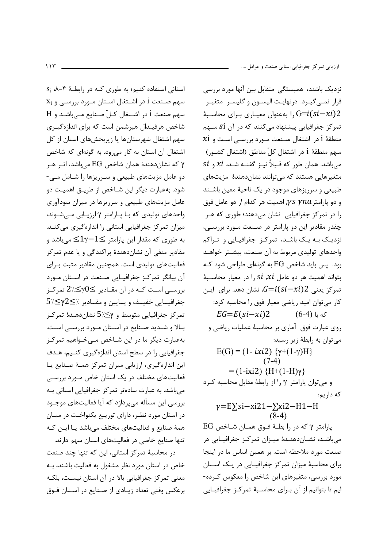$S_i$  ۸-۴ استفاده کنیم؛ به طوری کـه در رابطـهٔ ۴-۸،  $x_i$  سهم صنعت 1 در اشـتغال اسـتان مـورد بررسـي و سهم صنعت i در اشتغال كـلّ صـنايع مـى باشـد و H شاخص هرفیندال هیرشمن است که برای اندازهگیـری سهم اشتغال شهرستانها یا زیربخشهای استان از کل اشتغال آن استان به کار می رود. به گونهای که شاخص که نشاندهندهٔ همان شاخص EG میباشد، اثـر هـر  $\gamma$ دو عامل مزیتهای طبیعی و سـرریزها را شـامل مـی-شود. بهعبارت دیگر این شـاخص از طریـق اهمیـت دو عامل مزیتهای طبیعی و سرریزها در میزان سودآوری واحدهای تولیدی که بـا پـارامتر y ارزیـابی مـیشـوند، میزان تمرکز جغرافیایی استانی را اندازهگیری می کنــد. به طوري كه مقدار اين يارامتر $-1\leq 1$ ك مى باشد و مقادیر منفی آن نشاندهندهٔ پراکندگی و یا عدم تمرکز فعالیتهای تولیدی است. همچنین مقادیر مثبت بـرای آن بیانگر تمرکز جغرافیـایی صـنعت در اسـتان مـورد بررســي اســت كــه در آن مقــادير ڪ $\gamma 0 \leq \chi \leq 2$  تمركــز  $5$ /<br/> $\leq$ جغرافيــايي خفيــف و يــايين و مقــادير /></ تمرکز جغرافیایی متوسط و 5⁄∴∕5 نشاندهندهٔ تمرکـز بـالا و شـدید صـنایع در اسـتان مـورد بررسـی اسـت. بهعبارت دیگر ما در این شـاخص مـیخـواهیم تمرکـز جغرافیایی را در سطح استان اندازهگیری کنـیم، هـدف این اندازهگیری، ارزیابی میزان تمرکز همـهٔ صـنایع یـا فعالیتهای مختلف در یک استان خاص مـورد بررسـی می باشد. به عبارت سادهتر تمرکز جغرافیایی استانی ب بررسی این مسأله می پردازد که آیا فعالیتهای موجـود در استان مورد نظـر، دارای توزیـع یکنواخـت در میـان همهٔ صنایع و فعالیتهای مختلف میباشد یـا ایـن کـه تنها صنایع خاصی در فعالیتهای استان سهم دارند.

در محاسبهٔ تمرکز استانی، این که تنها چند صنعت خاص در استان مورد نظر مشغول به فعالیت باشند، بـه معنی تمرکز جغرافیایی بالا در آن استان نیست، بلکـه برعکس وقتی تعداد زیـادی از صـنایع در اسـتان فـوق نزدیک باشند، همبستگی متقابل بین آنها مورد بررسی قرار نمبي گيـرد. درنهايـت اليسـون و گليسـر ِ متغيـر ا به عنوان معیـاری بـرای محاسـبهٔ  $G=i(si-xi)2$ تمرکز جغرافیایی پیشنهاد می کنند که در آن Si سهم  $x$ i منطقهٔ ا در اشتغال صـنعت مـورد بررسـی اسـت و سهم منطقهٔ i در اشتغال کلّ مناطق (اشتغال کشــور) si میباشد. همان طور که قـبلاً نیـز گفتـه شـد، xi و si متغیرهایی هستند که می توانند نشاندهندهٔ مزیتهای طبیعی و سرریزهای موجود در یک ناحیهٔ معین باشـند و دو پارامتر  $\gamma n a$  /۲ اهمیت هر کدام از دو عامل فوق را در تمرکز جغرافیایی نشان میدهند؛ طوری که هـر چقدر مقادیر این دو پارامتر در صنعت مـورد بررسـی، نزدیک بـه یـک باشـد، تمرکـز جغرافیـایی و تـراکم واحدهای تولیدی مربوط به آن صنعت، بیشـتر خواهـد بود. پس باید شاخص EG به گونهای طراحی شود ک بتواند اهمیت هر دو عامل si ,xi را در معیار محاسـبهٔ تمرکز یعنی 2 $G=i(si-xi)$ ، نشان دهد. برای ایــن كار مى توان اميد رياضي معيار فوق را محاسبه كرد:  $EG=E(si-xi)2$  (6-4) که با روی عبارت فوق آماری بر محاسبهٔ عملیات ریاضی و مي توان به رابطهٔ زير رسيد:  $E(G) = (1 - ixi2) \{ \gamma + (1 - \gamma)H \}$  $(7-4)$  $= (1 - ixi2) \{H + (1 - H)\gamma\}$ و میتوان پارامتر y را از رابطهٔ مقابل محاسبه کرد كه داريم:  $y=E\sum_i$ si-xi21- $\sum_i$ xi2-H1-H  $(8-4)$ 

 $EG$  پارامتر γ که در را بطـهٔ فـوق همـان شـاخص میباشد، نشاندهنـدهٔ میـزان تمرکـز جغرافیـایی در صنعت مورد ملاحظه است. بر همین اساس ما در اینجا برای محاسبهٔ میزان تمرکز جغرافیایی در یک استان مورد بررسی، متغیرهای این شاخص را معکوس کـرده-ایم تا بتوانیم از آن بـرای محاسـبهٔ تمرکـز جغرافیـایی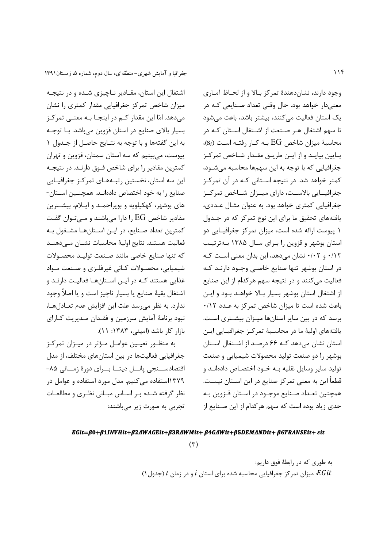اشتغال این استان، مقـادیر نـاچیزی شـده و در نتیجـه میزان شاخص تمرکز جغرافیایی مقدار کمتری را نشان مے دھد. امّا این مقدار کے در اپنجـا بـه معنـے تمرکـز بسیار بالای صنایع در استان قزوین میباشد. بـا توجـه به این گفتهها و با توجه به نتـایج حاصـل از جـدول ١ يپوست، مي بينيم كه سه استان سمنان، قزوين و تهران کمترین مقادیر را برای شاخص فـوق دارنـد. در نتیجـه این سه استان، نخستین رتبـههـای تمرکـز جغرافیـایی صنایع را به خود اختصاص دادهانـد. همچنـین اسـتان-های بوشهر، کهکیلویه و بویراحمـد و ایـلام، بیشـترین مقادیر شاخص EG را دارا مے باشند و مے توان گفت كمترين تعداد صنايع، در ايـن اسـتانهـا مشـغول بـه فعاليت هستند. نتايج اولية محاسبات نشـان مـى دهنـد كه تنها صنايع خاصى مانند صنعت توليد محصولات شیمیایی، محصولات کـانی غیرفلـزی و صـنعت مـواد غذایی هستند کـه در ایـن اسـتانهـا فعالیـت دارنـد و اشتغال بقيهٔ صنايع يا بسيار ناچيز است و يا اصلاً وجود ندارد. به نظر میرسد علت این افزایش عدم تعـادلهـا، نبود برنامهٔ آمایش سرزمین و فقـدان مـدیریت کـارای بازار كار باشد (اميني، ١٣٨٣: ١١).

به منظـور تعیـین عوامـل مـؤثر در میـزان تمرکـز جغرافیایی فعالیتها در بین استانهای مختلف، از مدل اقتصادســنجى پانـــل ديتـــا بـــراى دورهٔ زمـــانى ۸۵-۱۳۷۹استفاده می کنیم. مدل مورد استفاده و عوامل در نظر گرفته شده بر اساس مبانی نظری و مطالعات تجربی به صورت زیر میباشند:

وجود دارند، نشان دهندهٔ تمرکز بـالا و از لحـاظ آمـاری معنیدار خواهد بود. حال وقتی تعداد صنایعی کـه در یک استان فعالیت مے کنند، بیشتر باشد، باعث مے شود تا سهم اشتغال هـر صـنعت از اشـتغال اسـتان كـه در  $\mathrm{(S}_i)$  محاسبهٔ میزان شاخص  $\mathrm{EG}$  بـه کـار رفتـه اسـت پـايين بيايــد و از ايــن طريــق مقــدار شــاخص تمركــز جغرافیایی که با توجه به این سهمها محاسبه می شـود، کمتر خواهد شد. در نتیجه اسـتانی کـه در آن تمرکـز جغرافیــایی بالاســت، دارای میــزان شــاخص تمرکــز جغرافیایی کمتری خواهد بود. به عنوان مثـال عــددی، یافتههای تحقیق ما برای این نوع تمرکز که در جـدول ١ پیوست ارائه شده است، میزان تمرکز جغرافیـایی دو استان بوشهر و قزوین را برای سال ۱۳۸۵ بـهترتیب ۰/۱۲ و ۰/۰۲ نشان می دهد، این بدان معنی است کـه در استان بوشهر تنها صنایع خاصبی وجـود دارنـد کـه فعالیت می کنند و در نتیجه سهم هر کدام از این صنایع از اشتغال استان بوشهر بسيار بالا خواهـد بـود و ايـن باعث شده است تا میزان شاخص تمرکز به عـدد ۰/۱۲ برسد که در بین سایر استانها میـزان بیشـتری اسـت. یافتههای اولیهٔ ما در محاسـبهٔ تمرکـز جغرافیـایی ایـن استان نشان میدهد کـه ۶۶ درصـد از اشـتغال اسـتان بوشهر را دو صنعت تولید محصولات شیمیایی و صنعت تولید سایر وسایل نقلیه بـه خـود اختصـاص دادهانـد و قطعاً این به معنی تمرکز صنایع در این اسـتان نیسـت. همچنین تعـداد صـنایع موجـود در اسـتان قـزوین بـه حدي زياد بوده است كه سهم هركدام از اين صـنايع از

## EGit=B0+B1INVHit+B2AWAGEit+B3RAWMit+B4GAWit+B5DEMANDit+B6TRANSEit+ eit

 $(\tau)$ 

به طوري كه در رابطهٔ فوق داريم: . میزان تمرکز جغرافیایی محاسبه شده برای استان i و در زمان t (جدول ۱)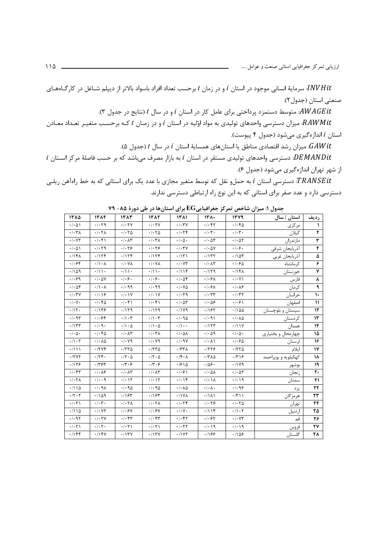سرمایهٔ انسانی موجود در استان i و در زمان t برحسب تعداد افراد باسواد بالاتر از دیپلم شـاغل در کارگــاههـای  $\it INVHit$ صنعتی استان (جدول ۲).

.4WAGEit متوسط دستمزد پرداختی برای عامل کار در استان i و در سال t (نتایج در جدول ۳).

، میزان دسترسی واحدهای تولیدی به مواد اوّلیه در استان i و در زمـان t کـه برحسـب متغیـر تعـداد معـادن $RM$ it استان i اندازهگیری میشود (جدول ۴ پیوست).

ن میزان رشد اقتصادی مناطق یا استانهای همسایهٔ استان i در سال t (جدول ۵). $i$ 

 $i$  ندسترسی واحدهای تولیدی مستقر در استان  $i$  به بازار مصرف میباشد که بر حسب فاصلهٔ مرکز اسـتان  $BMANDit$ از شهر تهران اندازهگیری میشود (جدول ۶).

TRANSEit: دسترسی استان i به حمل و نقل که توسط متغیر مجازی با عدد یک برای استانی که به خط راهآهن ریلبی دسترسی دارد و عدد صفر برای استانی که به این نوع راه ارتباطی دسترسی ندارند.

| رديف                   | استان / سال         | 1379                                   | $151 -$                            | ۱۳۸۱                                   | 1382                                    | 1382                                    | 1384                                    | ۱۳۸۵                                                                                                                                                                                                                                                                                                                                                                                                                                                                                                                                                                   |
|------------------------|---------------------|----------------------------------------|------------------------------------|----------------------------------------|-----------------------------------------|-----------------------------------------|-----------------------------------------|------------------------------------------------------------------------------------------------------------------------------------------------------------------------------------------------------------------------------------------------------------------------------------------------------------------------------------------------------------------------------------------------------------------------------------------------------------------------------------------------------------------------------------------------------------------------|
|                        | مركزي               | .1.40                                  | .1.57                              | $\cdot$ / $\cdot$ ۳٧                   | .1.7V                                   | .1.7V                                   | .1.79                                   | $\cdot$ / $\cdot$ $\wedge$ $\wedge$                                                                                                                                                                                                                                                                                                                                                                                                                                                                                                                                    |
| ٢                      | گيلان               | $\cdot/\cdot$ ۳.                       | $\cdot/\cdot \tau$ .               | .1.79                                  | $\cdot$ / $\cdot$ $\uparrow$ $\upDelta$ | $\cdot$ / $\cdot$ $\uparrow$ $\uparrow$ | $\cdot$ / $\cdot$ $\uparrow$ $\wedge$   | $\cdot$ / $\cdot$ $\uparrow$ $\wedge$                                                                                                                                                                                                                                                                                                                                                                                                                                                                                                                                  |
| ٣                      | مازندران            | $\cdot$ / $\cdot$ $\Delta \tau$        | $\cdot$ / $\cdot$ $\wedge$ $\vee$  | $\cdot$ / $\cdot$ $\wedge$ $\cdot$     | $\cdot$ / $\cdot$ $\uparrow$ $\wedge$   | $\cdot$ / $\cdot$ $\wedge\tau$          | $\cdot$ / $\cdot$ $\uparrow$ )          | $\cdot$ / $\cdot$ YY                                                                                                                                                                                                                                                                                                                                                                                                                                                                                                                                                   |
| ۴                      | أذربايجان شرقي      | $.  .$ ۶.                              | $\cdot$ / $\cdot$ $\Delta$ Y       | $\cdot/\cdot \tau$                     | .1.79                                   | .1.79                                   | $\cdot$ / $\cdot$ $\uparrow$ 9          | $\cdot$ / $\cdot$ $\wedge$ $\wedge$                                                                                                                                                                                                                                                                                                                                                                                                                                                                                                                                    |
| ۵                      | أذربايجان غربي      | .700                                   | .1177                              | .7151                                  | .715f                                   | .7154                                   | .115f                                   | .79K                                                                                                                                                                                                                                                                                                                                                                                                                                                                                                                                                                   |
| ۶                      | كرمانشاه            | $\cdot$ / $\cdot$ 6                    | $\cdot/\cdot \wedge \tau$          | $\cdot$ / $\cdot$ $\vee\tau$           | $\cdot$ / $\cdot$ Y A                   | $\cdot$ / $\cdot$ Y A                   | $\cdot/\cdot \wedge$                    | .1.84                                                                                                                                                                                                                                                                                                                                                                                                                                                                                                                                                                  |
| ٧                      | خوزستان             | .797                                   | .1179                              | .7119                                  | $\cdot/\rightarrow \cdot$               | $\cdot/\rightarrow \cdot$               | $\cdot/\rightarrow \cdot$               | .709                                                                                                                                                                                                                                                                                                                                                                                                                                                                                                                                                                   |
| ۸                      | فارس                | $\cdot$ / $\cdot$ Y)                   | $.$ / $.$ ۶۸                       | $\cdot$ / $\cdot$ $\Delta f$           | .4.8.                                   | $.  .$ ۶.                               | $\cdot$ / $\cdot$ $\Delta V$            | .1.99                                                                                                                                                                                                                                                                                                                                                                                                                                                                                                                                                                  |
| ٩                      | كرمان               | .1.19                                  | $.$ / $.$ ۶۸                       | $\cdot$ / $\cdot$ $\vee$ $\Delta$      | .1.99                                   | .499                                    | $\cdot/\cdot \wedge$                    | $\cdot$ / $\cdot$ $\Delta f$                                                                                                                                                                                                                                                                                                                                                                                                                                                                                                                                           |
| $\mathcal{L}$          | خراسان              | $\cdot$ / $\cdot$ $\tau$ $\tau$        | $\cdot/\cdot$ ٣٣                   | .1.79                                  | $\cdot/\cdot$ \Y                        | $\cdot$ / $\cdot$ / $\vee$              | .1.19                                   | $\cdot$ / $\cdot$ $\uparrow$ Y                                                                                                                                                                                                                                                                                                                                                                                                                                                                                                                                         |
| $\mathcal{U}$          | اصفهان              | .  .9                                  | $\cdot$ / $\cdot$ $\Delta$ ۶       | $\cdot$ / $\cdot$ $\Delta \tau$        | $\cdot/\cdot$ ۴۱                        | $\cdot/\cdot$ ۴۱                        | .4.40                                   | $\cdot$ / $\cdot$ $\vee$ $\cdot$                                                                                                                                                                                                                                                                                                                                                                                                                                                                                                                                       |
| ۱۲                     | سیستان و بلوچستان   | .1100                                  | .195                               | .1119                                  | .1179                                   | .1179                                   | .1159                                   | .715.                                                                                                                                                                                                                                                                                                                                                                                                                                                                                                                                                                  |
| ۱۳                     | كردستان             | $\cdot$ / $\cdot$ $\wedge$ $\triangle$ | .4.91                              | .4.90                                  | $\cdot/\cdot \tau$                      | $\cdot/\cdot \tau$                      | .1.84                                   | $\cdot$ / $\cdot$ 95                                                                                                                                                                                                                                                                                                                                                                                                                                                                                                                                                   |
| ۱۴                     | همدان               | .711Y                                  | .115                               | $\cdot/\cdot$ .                        | $\cdot/\cdot \Delta$                    | $\cdot/\cdot \Delta$                    | $\cdot$ / $\cdot$ 9 $\cdot$             | .715                                                                                                                                                                                                                                                                                                                                                                                                                                                                                                                                                                   |
| ۱۵                     | چهارمحال و بختیاری  | $\cdot$ / $\cdot$ $\wedge$ $\cdot$     | $\cdot$ / $\cdot$ $\wedge$ 9       | $\cdot$ / $\cdot$ $\Delta \Lambda$     | $\cdot$ / $\cdot$ $\uparrow$ $\wedge$   | $\cdot$ / $\cdot$ $\wedge\tau$          | $\cdot$ / $\cdot$ $\uparrow$ $\uparrow$ | $\cdot$ / $\cdot$ $\wedge$ $\cdot$                                                                                                                                                                                                                                                                                                                                                                                                                                                                                                                                     |
| ۱۶                     | لرستان              | $\cdot$ / $\cdot$ $\varphi$ $\Delta$   | $\cdot/\cdot \wedge \wedge$        | $\cdot$ / $\cdot$ 9Y                   | $\cdot$ / $\cdot$ $\vee$ 9              | $\cdot$ / $\cdot$ $\vee$ 9              | $\cdot$ / $\cdot$ $\wedge$ $\triangle$  | $\cdot/\right. \cdot \left. \right. \left. \right. \left. \right. \left. \left. \right. \left. \left. \right. \left. \left. \right. \left. \right. \left. \left. \right. \right. \left. \left. \right. \left. \left. \right. \right. \left. \left. \right. \right. \left. \left. \right. \right. \left. \left. \right. \left. \left. \right. \right. \left. \left. \right. \right. \left. \left. \right. \right. \left. \left. \right. \right. \left. \left. \right. \right. \left. \left. \right. \right. \left. \left. \right. \left. \left. \right. \right. \left.$ |
| ١٧                     | ايلام               | .7770                                  | .7779                              | $\cdot$ $/$ ۳۳ $\Lambda$               | .7770                                   | .7770                                   | .7796                                   | $\cdot/111$                                                                                                                                                                                                                                                                                                                                                                                                                                                                                                                                                            |
| ١٨                     | کهکیلویه و بویراحمد | .779                                   | $\cdot$ /٣٨۵                       | $\cdot$ /۴ $\cdot$ $\wedge$            | $\cdot$ /۲ $\cdot$ $\Delta$             | $\cdot$ /٢ $\cdot$ $\Delta$             | .75.                                    | .7YY                                                                                                                                                                                                                                                                                                                                                                                                                                                                                                                                                                   |
| ۱۹                     | بوشهر               | .1119                                  | .789.                              | $\cdot$ / $\epsilon$ \ $\Delta$        | $\cdot$ /۳ $\cdot$ ۶                    | $\cdot \pi \cdot 5$                     | .775                                    | .1159                                                                                                                                                                                                                                                                                                                                                                                                                                                                                                                                                                  |
| ٢٠                     | زنجان               | $\cdot$ / $\cdot$ $\wedge$ $\tau$      | $\cdot$ / $\cdot$ $\Delta \Lambda$ | .  .9                                  | $\cdot/\cdot \wedge \tau$               | $\cdot$ / $\cdot$ $\wedge\tau$          | .1.19                                   | $\cdot$ / $\cdot$ $\uparrow$ $\uparrow$                                                                                                                                                                                                                                                                                                                                                                                                                                                                                                                                |
| ۲۱                     | سمنان               | .4.19                                  | $\cdot/\cdot \wedge \wedge$        | $\cdot/\cdot$ \ $\uparrow$             | $\cdot/\cdot$ ) $\Upsilon$              | $\cdot$ / $\cdot$ / $\tau$              | $\cdot$ / $\cdot$ 9                     | $\cdot$ / $\cdot$ $\uparrow$ $\uparrow$                                                                                                                                                                                                                                                                                                                                                                                                                                                                                                                                |
| ٢٢                     | يزد                 | .1.99                                  | $\cdot/\cdot \wedge \cdot$         | $\cdot$ / $\cdot$ $\wedge$ $\triangle$ | $\cdot$ / $\cdot$ 9 $\Delta$            | $\cdot$ / $\cdot$ 90                    | .4.9A                                   | .7110                                                                                                                                                                                                                                                                                                                                                                                                                                                                                                                                                                  |
| $\mathbf{r}\mathbf{r}$ | هرمزگان             | $\cdot$ /٣١١                           | .7111                              | .11YA                                  | .195                                    | .195                                    | .1109                                   | $\cdot$ /٢ $\cdot$ ٢                                                                                                                                                                                                                                                                                                                                                                                                                                                                                                                                                   |
| ٢۴                     | تهران               | .1.70                                  | .1.79                              | .1.79                                  | $\cdot$ / $\cdot$ $\uparrow$ $\uparrow$ | $\cdot$ / $\cdot$ $\uparrow$ $\wedge$   | $\cdot/\cdot$ ۳.                        | $\cdot/\cdot$ $\uparrow \uparrow$                                                                                                                                                                                                                                                                                                                                                                                                                                                                                                                                      |
| ۲۵                     | اردبيل              | $\cdot/\cdot$ $\cdot$ $\cdot$          | .7119                              | $\cdot$ / $\cdot$ $\vee$ $\cdot$       | .1.54                                   | .1.54                                   | $\cdot$ / $\cdot$ YY                    | .7110                                                                                                                                                                                                                                                                                                                                                                                                                                                                                                                                                                  |
| ۲۶                     | قم                  | $\cdot$ / $\cdot$ $\vee\tau$           | .1.57                              | .1.57                                  | $\cdot/\cdot$ ۴۳                        | $\cdot$ / $\cdot$ $\uparrow\uparrow$    | $.$ / $.7V$                             | .497                                                                                                                                                                                                                                                                                                                                                                                                                                                                                                                                                                   |
| ٢٧                     | قزوين               | .4.19                                  | .4.19                              | .1.57                                  | $\cdot/\cdot$ $\uparrow\uparrow$        | $\cdot/\cdot$ $\uparrow\uparrow$        | $\cdot$ / $\cdot$ $\cdot$               | $\cdot/\cdot$ $\uparrow \uparrow$                                                                                                                                                                                                                                                                                                                                                                                                                                                                                                                                      |
| ۲۸                     | گلستان              | .189                                   | .189                               | .11YY                                  | .715Y                                   | .715Y                                   | .795                                    | ۰/۱۴۴                                                                                                                                                                                                                                                                                                                                                                                                                                                                                                                                                                  |

جدول ۱: میزان شاخص تمرکز جغرافیاییEG برای استانها در طی دورهٔ ۸۵- ۷۹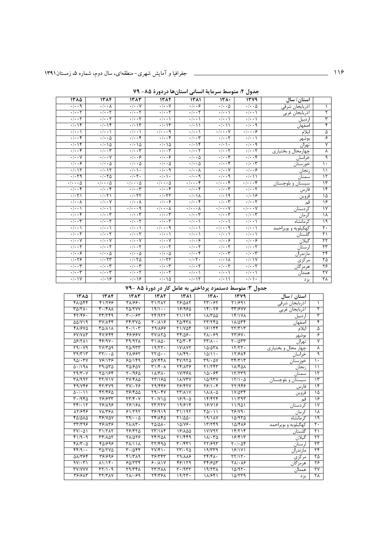| جدول ۲: متوسط سرمایهٔ انسانی استانها دردورهٔ ۸۵– ۷۹ |  |
|-----------------------------------------------------|--|
|-----------------------------------------------------|--|

| ۱۳۸۵                                  | 1384                                                              | 1383                              | 1382                                                                                           | ۱۳۸۱                                                     | $151 -$                           | 1379                                         | استان/ سال                |                          |
|---------------------------------------|-------------------------------------------------------------------|-----------------------------------|------------------------------------------------------------------------------------------------|----------------------------------------------------------|-----------------------------------|----------------------------------------------|---------------------------|--------------------------|
| $\overline{\cdot\cdot\cdot}$          | $\overline{\cdot}\hspace{0.1cm}\cdot\hspace{0.1cm}\cdot$ $\wedge$ | $\cdot \mid \cdot \cdot \mid$     | $\cdot \mid \cdot \cdot \mid$                                                                  | $\overline{\cdot\cdot\cdot}$                             | $\cdot$ / $\cdot$ $\Delta$        | $\cdot$ / $\cdot$ $\Delta$                   | أذربايجان شرقي            | $\lambda$                |
| $\cdot$ / $\cdot$ $\cdot$ $\cdot$     | $\cdot$ / $\cdot$ $\cdot$ $\cdot$                                 | $\cdot$ / $\cdot$ $\cdot$ $\cdot$ | $\cdot$ / $\cdot$ $\cdot$ $\cdot$                                                              | $\cdot$ / $\cdot$ $\cdot$ $\cdot$                        | $\cdot$ / $\cdot$ \               | $\cdot$ / $\cdot$ )                          | أذربايجان غربي            | ۲                        |
| $\cdot$ $\cdot$ $\cdot$ $\cdot$       | $\cdot$ $\cdot$ $\cdot$ $\cdot$                                   | $\cdot$ $\cdot$ $\cdot$ $\cdot$   | $\cdot$ / $\cdot$ )                                                                            | $\cdot$ / $\cdot$ \                                      | $\cdot$ / $\cdot$ \               | $\cdot$   $\cdot$ \                          | اردبيل                    | ٣                        |
| $\cdot$                               | $\cdot \mid \cdot \mid f$                                         | $\cdot/\cdot$ \ \                 | $\cdot$   $\cdot$   $\uparrow$                                                                 | $\cdot/\cdot$ ) )                                        | $\cdot$ / $\cdot$ \ \             | $\cdot$ / $\cdot$ 9                          | اصفهان                    | ۴                        |
| $\cdot$ / $\cdot$ \                   | $\cdot$ / $\cdot$ \                                               | $\cdot$ / $\cdot$ \               | $\cdot$ / $\cdot$ $\cdot$ 9                                                                    | $\cdot$ / $\cdot$ \                                      | $\cdot$ / $\cdot\cdot\cdot$ Y     | $\cdot$ $ \cdot\cdot\cdot\mathcal{S} $       | ايلام                     | $\Delta$                 |
| $\overline{\cdots}$                   | $\cdot$ / $\cdot$ $\Delta$                                        | $\cdot \mid \cdot \cdot \rangle$  | $\cdot \mid \cdot \cdot \mid$                                                                  | $\cdot$ / $\cdot$ $\tau$                                 | $\cdot$ / $\cdot$ $\cdot$ $\cdot$ | $\cdot$ / $\cdot$ )                          | بوشهر                     | ۶                        |
| $\cdot$ $\cdot$ $\cdot$ $\cdot$       | $\sqrt{10}$                                                       | $\cdot$ $\cdot$ $\cdot$ $\circ$   | $\cdot$ $\cdot$ $\cdot$ $\circ$                                                                | $\cdot$ $\cdot$ $\cdot$ $\cdot$                          | $\cdot \cdot \cdot \cdot$         | $\cdot \mid \cdot \cdot \mid$                | تهران                     | $\overline{\mathsf{v}}$  |
| $\cdot \mid \cdot \cdot \mid$         | $\cdot$ $\cdot$ $\cdot$ $\tau$                                    | $\cdot \mid \cdot \cdot \mid$     | $\cdot$ $\cdot$ $\cdot$ $\cdot$                                                                | $\overline{\cdot\!cdot\!}$                               | $\cdot$ / $\cdot$ $\cdot$ $\cdot$ | $\cdot$ / $\cdot$ $\cdot$ $\cdot$            | چهارمحال و بختیاری        | λ                        |
| $\overline{\cdot\cdot\cdot\vee}$      | $\overline{\cdot\cdot\cdot\gamma}$                                | $\overline{\cdot\cdot\cdot}$      | $\overline{\cdot\cdot\cdot}$                                                                   | $\cdot$ / $\cdot$ $\Delta$                               | $\overline{\cdot\cdot\cdot\cdot}$ | $\cdot \mid \cdot \cdot \rangle$             | خراسان                    | ٩                        |
| $\overline{\cdot\cdot\cdot}$          | $\cdot$ / $\cdot$ $\Delta$                                        | $\cdot$ / $\cdot$ $\Delta$        | $\cdot$ / $\cdot$ $\Delta$                                                                     | $\cdot$ / $\cdot$ $\Delta$                               | $\cdot \mid \cdot \cdot \rangle$  | $\cdot$ $\overline{\cdot \tau}$              | خوزستان                   | $\mathcal{L}$            |
| $\cdot$ $\cdot$ $\cdot$ $\cdot$       | $\cdot$ $\cdot$ $\cdot$ $\cdot$                                   | $\cdot \mid \cdot \mid \cdot$     | $\cdot \mid \cdot \cdot \mid$                                                                  | $\overline{\cdot\cdot\cdot}$                             | $\cdot \mid \cdot \cdot \mid$     | $\cdot \mid \cdot \cdot \circ$               | زنجان                     | $\overline{\mathcal{L}}$ |
| $\cdot$ $\cdot$ $\cdot$ $\cdot$       | $\cdot$ $\cdot$ $\cdot$ $\circ$                                   | $\cdot \mid \cdot \mid \cdot$     | $\cdot \mid \cdot \mid \cdot$                                                                  | $\cdot \mid \cdot \cdot \mid$                            | $\cdot \mid \cdot \cdot \mid$     | $\cdot$   $\cdot$                            | سمنان                     | ۱۲                       |
| $\overline{\cdot\cdot\cdot\cdot}$     | $\overline{\cdot\cdot\cdot\cdot}$                                 | $\overline{\cdot\cdot\cdot\cdot}$ | $\cdot$ / $\cdot$ $\cdot$ $\wedge$                                                             | $\overline{\cdots}$                                      |                                   | $\cdot$ / $\cdot$ . $\cdot$ $\cdot$          | سیستان و بلوچستا <u>ن</u> | $\overline{\Upsilon}$    |
| $\overline{\cdot\cdot\cdot\cdot}$     | $. \cdot $                                                        | $\cdot \mid \cdot \cdot \tau$     | $\cdot \mid \cdot \cdot \rangle$                                                               | $\cdot \mid \cdot \cdot \rangle$                         | $\cdot$ / $\cdot$ $\tau$          | $\cdot$ / $\cdot$ $\cdot$ $\cdot$            | فارس                      | $\overline{16}$          |
| $\cdot$ $\mid$ $\cdot$ $\mid$ $\cdot$ | $\cdot$ $\cdot$ $\cdot$ $\cdot$                                   | $\overline{\cdot}$                | $\overline{\cdot}$ $\overline{\cdot}$ $\overline{\cdot}$ $\overline{\cdot}$ $\overline{\cdot}$ | $\cdot \mid \cdot \mid \cdot \mid$                       | $\cdot$ 19                        | $\cdot \cdot \cdot \cdot$                    | قزوين                     | ۱۵                       |
| $\cdot$ $\cdot$ $\wedge$              | $\cdot \cdot \cdot \vee$                                          | $\cdot$ / $\cdot$ $\wedge$        | $\cdot \cdot \cdot$ ۶                                                                          | $\cdot \cdot \cdot f$                                    | $\cdot$ $\cdot$ $\cdot$ $\cdot$   | $\cdot$ $\overline{\cdot \cdot \cdot \cdot}$ | قم                        | 16                       |
| $\cdot$ / $\cdot$ \                   | $\cdot/\cdot\cdot$                                                | .   q                             | $\cdot$ / $\cdot$ $\cdot$ $\wedge$                                                             | $\cdot$ / $\cdot$ $\cdot$ $\wedge$                       | $\cdot$ / $\cdot\cdot\cdot$ Y     | $\cdot/\cdot\cdot\cdot$ Y                    | كردستان                   | $\overline{Y}$           |
| $\overline{\cdot\cdot\cdot\cdot}$     | $\overline{\cdot\cdot\cdot\tau}$                                  | $\cdot \mid \cdot \cdot \mid$     | $\cdot \mid \cdot \cdot \mid$                                                                  | $\overline{\cdot\cdot\cdot\tau}$                         | $\cdot$ / $\cdot$ $\tau$          | $\cdot/\cdot\cdot\tau$                       | كرمان                     | $\sqrt{}$                |
| $\cdot$ $\cdot$ $\cdot$ $\cdot$       | $\cdot$ / $\cdot$ $\cdot$ $\cdot$                                 | $\cdot$ $\cdot$ $\cdot$ $\cdot$   | $\cdot$ / $\cdot$ $\cdot$ $\cdot$                                                              | $\cdot$ / $\cdot$ \                                      | $\cdot$ / $\cdot$ \               | $\cdot$   $\cdot$ \                          | كرمانشاه                  | ۱۹                       |
| $\cdot$ $\cdot$ $\cdot$ $\cdot$       | $\cdot$ $\cdot$ \                                                 | $\cdot \mid \cdot \mid$           | $\cdot$ $\cdots$ 9                                                                             | $\cdot \mid \cdot \cdot \mid$                            | $\cdot$ $\cdots$ 9                | $\cdot$   $\cdot$ \                          | کهکیلویه و بویراحمد       | ٢٠                       |
| $\cdot$ / $\cdot$ $\cdot$ $\cdot$     | $\cdot$ / $\cdot$ $\cdot$ $\cdot$                                 | $\cdot$ / $\cdot$ $\cdot$ $\cdot$ | $\cdot$   $\cdot$ \                                                                            | $\cdot$ / $\cdot$ \                                      | $\cdot$ / $\cdot$ \               | $\cdot/\cdot\cdot$                           | گلستان                    | $\overline{1}$           |
| $\cdot$ / $\cdot$ Y                   | $\cdot$ / $\cdot$ Y                                               | $\cdot$ / $\cdot$ Y               | $\cdot$ / $\cdot$ Y                                                                            | .  . .9                                                  | .  . .9                           | $\cdot \mid \cdot \cdot \mathfrak{S}$        | گيلان                     | $\overline{\tau}$        |
| $\cdot$ / $\cdot$ $\cdot$ $\cdot$     | $\cdot$ / $\cdot$ $\cdot$ $\cdot$                                 | $\overline{\cdot\cdot\cdot}$      | $\cdot$ / $\cdot$ $\cdot$ $\cdot$                                                              | $\cdot$ / $\cdot$ $\cdot$ $\cdot$                        | $\cdot$ / $\cdot$ $\cdot$ $\cdot$ | $\cdot$ / $\cdot$ $\cdot$ $\cdot$            | لرستان                    | ۲۳                       |
| $\cdot$ $ \cdot$ $\cdot$ $\circ$      | $\overline{\cdot\cdot\cdot}$                                      | $\cdot$ / $\cdot$ $\Delta$        | $\cdot$ / $\cdot$ $\Delta$                                                                     | $\cdot \mid \cdot \cdot \mid$                            | $\cdot$ $\cdot$ $\cdot$ $\cdot$   | $\cdot \mid \cdot \cdot \mid$                | مازندران                  | ۲۴                       |
| 7.179                                 | $\overline{\cdot}$                                                | .1.70                             | $\overline{\cdot}$ $\overline{\cdot}$ $\overline{\cdot}$ $\overline{\cdot}$ $\overline{\cdot}$ | $\cdot \mid \cdot \mid \cdot$                            | $\cdot$ / $\cdot$ / $\wedge$      | $\cdot$ / $\cdot$ / Y                        | مركزي                     | ۲۵                       |
| $\cdot$ / $\cdot$ $\uparrow$          | $\cdot$ / $\cdot$ $\uparrow$                                      | $\cdot$ / $\cdot$ $\tau$          | $\cdot$ / $\cdot$ $\tau$                                                                       | $\cdot$ / $\cdot$ $\cdot$ $\cdot$                        | $\cdot$ / $\cdot$ $\cdot$ $\cdot$ | $\cdot$ / $\cdot$ $\cdot$ $\cdot$            | هرمزگان                   | ۲۶                       |
| $\cdot$ $\cdot$ $\cdot$ $\tau$        | $\cdot$ $\cdot$ $\cdot$ $\cdot$                                   | $\cdot$ $\cdot$ $\cdot$ $\cdot$   | $\cdot \mid \cdot \cdot \mid$                                                                  | $\cdot \mid \cdot \cdot \mid$                            | $\cdot$ / $\cdot$ \               | $\cdot$ / $\cdot$ \                          | همدان                     | ٢٧                       |
| $\cdot$ / $\cdot$ / $\vee$            | $\cdot$ $\cdot$ $\cdot$ $\cdot$                                   | $\cdot$ $\cdot$ $\cdot$ $\circ$   | $\cdot$ / $\cdot$ / $\Delta$                                                                   | $\overline{\cdot}$ $\overline{\cdot}$ $\overline{\cdot}$ | $\cdot$ / $\cdot$ / $\cdot$       | $\cdot/\cdot$ \ $\cdot$                      | يزد                       | ٢٨                       |

جدول ۳: متوسط دستمزد پرداختی به عامل کار در دورهٔ ۸۵ -۷۹

| ۱۳۸۵                                 | 15.16                            | 15.1                                              | 1382                                           | $\overline{111}$                | 15.4                                                       | 144                           | استان / سال            |                           |
|--------------------------------------|----------------------------------|---------------------------------------------------|------------------------------------------------|---------------------------------|------------------------------------------------------------|-------------------------------|------------------------|---------------------------|
| 41/046                               | 41/255                           | $\sqrt{1/59}$                                     | T1/TAT                                         | <b>78/017</b>                   | $\overline{\mathsf{y}\mathsf{y}}\cdot\mathsf{y}\mathsf{y}$ | ۲۱/۶۹۱                        | اذربايجان شرقي         |                           |
| $T\Delta/T\Lambda$ .                 | $\mathbf{r} \cdot \mathbf{r}$    | TQ/TYY                                            | 19/1                                           | 18/980                          | 181.79                                                     | <b>TT/۶۷۷</b>                 | اذربايجا <u>ن غربي</u> | ۲                         |
| $f\uparrow/ff$ .                     | TT/7f9                           | $\mathbf{r} \cdot \mathbf{1} \cdot \mathbf{r}$    | 74/977                                         | 71/197                          | 11/700                                                     | 16/14V                        | اردبيل                 | ٣                         |
| $\Delta\Delta/Y$ $\Delta$ 9          | $TV/ \Lambda f f$                | $Tf/TV\Delta$                                     | $\sqrt{4.19}$                                  | <b>TQ/FTA</b>                   | $\overline{YY/YY}$                                         | 11/074                        | اصفهان                 | ۴                         |
| 41/970                               | <b>٣۵/٨١٨</b>                    | $\sqrt{1-\zeta}$                                  | 59/188                                         | $Y1/Y\Delta f$                  | 18/199                                                     | $\tau\tau/\tau$               | ايلام                  | $\Delta$                  |
| $5Y/Y\Lambda T$                      | 649666                           | <u>481661</u>                                     | <b>TV/175</b>                                  | $\frac{1}{2}$                   | 78.18                                                      | $\frac{1}{\sqrt{2}}$          | بوشهر                  | ۶                         |
| 08/211                               | $f$ $g$ /9 $v$ .                 | $T9/97\lambda$                                    | $T1/\lambda\Delta$ .                           | $Y\Delta/\Upsilon\cdot\Upsilon$ | $\frac{1}{2}$                                              | $T - \Delta T T$              | تهران                  | γ                         |
| $\overline{Y}9/\cdot\overline{Y}9$   | YY/TQ9                           | $Y\Delta$ /9 $YY$                                 | 19/77                                          | <b>IV/AVY</b>                   | 10/071                                                     | 15/77                         | چهار محال و بختیاری    | ٨                         |
| T9/T17                               | $\overline{r\gamma\cdots\alpha}$ | 71/997                                            | $\frac{1}{1100}$                               | 11/4.                           | 10/11                                                      | 11/919                        | خراسان                 | ٩                         |
| $90/\cdot 7V$                        | $Y$ $Y$ $Y$ $Y$                  | 80/199                                            | <b>AV/FFA</b>                                  | fY/970                          | T9/20Y                                                     | Tf/T                          | خوزستان                | ١.                        |
| $\Delta$ - $/19\Lambda$              | 59/050                           | 50/807                                            | $\frac{1}{2}$                                  | 74/179                          | <u>۲۱/۲۴۳</u>                                              | 18/408                        | زنجان                  | ۱۱                        |
| $Y - Y$                              | ۲۵/۱۶۴                           | $Y \cdot 1950$                                    | $1\Lambda/T\Lambda$                            | <b><i>IVITEA</i></b>            | 101.88                                                     | 17/779                        | سمنان                  | $\overline{\mathbf{y}}$   |
| ۳۸/۹۹۲                               | YY/YY                            | <b>TY/FAQ</b>                                     | 11/180                                         | <b>IA/V۳Y</b>                   | 10/97Y                                                     | 15/10                         | سیستان و بلوچستان      | $\mathcal{N}$             |
| 49/748                               | $f\gamma/\gamma\gamma$           | $TV$ $.79$                                        | 29/445                                         | 78/474                          | $\frac{8}{15}$                                             | 77/948                        | فارس                   | ۱۴                        |
| $\Delta$ ./. \\                      | 47/460                           | 581900                                            | Y9.6Y                                          | $YY/\lambda Y$                  | $11/\sqrt{9}$                                              | 11/246                        | قزوين                  | ۱۵                        |
| $\sqrt{4.1950}$                      | 79/977                           | $\frac{1}{\sqrt{2}}$                              | $Y \cdot / Y \setminus \Delta$                 | 18/9.0                          | 18/826                                                     | 11/44                         | قم                     | ۱۶                        |
| $\overline{\Gamma\gamma\cdot\Gamma}$ | 781198                           | <b>78/181</b>                                     | YY/YYY                                         | 19/919                          | 18/418                                                     | 11/901                        | كردستان                | $\frac{1}{2}$             |
| 17/949                               | $V\lambda/\tau$ ۶ $\lambda$      | 91/191                                            | 49/919                                         | 31/195                          | $\frac{1}{2}$                                              | YY/Y9.                        | كرمان                  | ۱۸                        |
| 40/010                               | 38/10V                           | 59/1.6                                            | 74/140                                         | $T1/\Delta\Delta$ .             | 19/18Y                                                     | 10/970                        | كرمانشاه               | ۱۹                        |
| $\overline{\Gamma\Gamma/\Gamma}$ 98  | 59/159                           | $Y/\lambda Y$                                     | $\Gamma \Delta / \Delta \Lambda$ .             | $10/N$ .                        | 17799                                                      | 10/418                        | کهگیلویه<br>و بويراحمد | $\mathsf{r}$ .            |
| $TV\cdot \Delta$                     | T1/TAT                           | Y9/Y0                                             | $\overline{\Upsilon\Upsilon/\Upsilon\Upsilon}$ | 18/100                          | 1Y/Y97                                                     | 18/718                        | گلستان                 | $\overline{\tau}$         |
| f1/9.9                               | <b>٣۴/٨٥٢</b>                    | 71/078                                            | <b>74/701</b>                                  | 21/669                          | 11.70                                                      | 18/815                        | گیلان                  | ۲۲                        |
| $f\lambda/\tau\cdot\Delta$           | 40/696                           | $T/\sqrt{1/\lambda}$                              | 089177                                         | $\mathbf{r} \cdot \mathbf{r}$   | 77/993                                                     | $\sqrt{1.66}$                 | لرستان                 | ۲۳                        |
| $f(f)(q)$ .                          | $Y\Delta/YV\Delta$               | $T - \Delta f f$                                  | $TV/F1$ .                                      | $\tau\tau/\cdot\tau\Delta$      | 19/779                                                     | 19/11                         | مازندران               | $\mathbf{Y}^{\mathbf{F}}$ |
| 51/164                               | 366161                           | $f1/T\lambda9$                                    | $\mathbf{r}$                                   | <b>T9/AAS</b>                   | $\mathbf{Y} \mathbf{Y} / \mathbf{Y}$                       | $\Upsilon\Upsilon/\Upsilon$ . | مركزى                  | ۲۵                        |
| $9V/\cdot 7)$                        | 1116.                            | 50/779                                            | 9.111                                          | 48/179                          | <b>٣۴/۶٥٣</b>                                              | $\sqrt{11.8}$                 | هرمزگان                | ۲۶                        |
| <b>TV/VVV</b>                        | PT/1.9                           | 79/۳۴۸                                            | $\overline{YY/Y\lambda}$                       | 7.7977                          | $19/77\lambda$                                             | 10/97                         | همدان                  | $\overline{\tau\gamma}$   |
| 391613                               | <b>٣٢/٣٨٧</b>                    | $\mathbf{Y} \wedge / \cdot \mathbf{P} \mathbf{P}$ | <b>74/781</b>                                  | 19/77.                          | 18/41                                                      | 10/579                        | ن; د                   | ۲۸                        |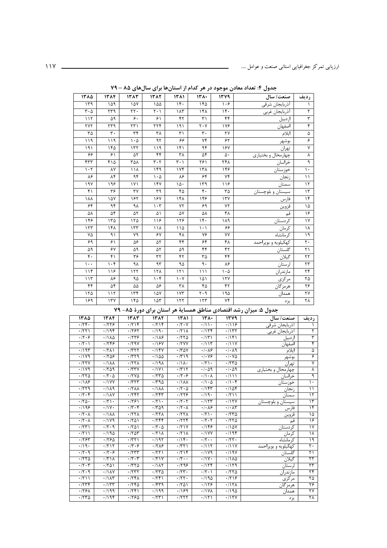| ١٣٨٥                          | ١٣٨۴            | 1387                            | 1382                                   | 1511                          | $141 -$                       | 1379       | صنعت/ سال           | رديف            |
|-------------------------------|-----------------|---------------------------------|----------------------------------------|-------------------------------|-------------------------------|------------|---------------------|-----------------|
| 149                           | ۱۵۹             | ١۵٧                             | ۱۵۵                                    | 14.                           | ۱۴۵                           | ۱۰۶        | أذربايجان شرقي      |                 |
| $\mathbf{r} \cdot \mathbf{r}$ | ٢٣٩             | ٢٢.                             | $\mathsf{r} \cdot \mathsf{r}$          | ١٨٣                           | ١۴٨                           | 15.        | أذربايجان غربي      | ٢               |
| 117                           | ۵۹              | ۶.                              | ۶١                                     | ۴۲                            | ٣١                            | ۴۴         | ار دبيل             | ٣               |
| <b>٢٧٢</b>                    | ٢٣٩             | $\tau\tau$                      | ٢٢۴                                    | ۱۹۱                           | $\mathbf{y} \cdot \mathbf{y}$ | 178        | اصفهان              | ۴               |
| ٣۵                            | $\mathbf{r}$ .  | $\tau$                          | ٣٨                                     | $\uparrow$                    | $\mathbf{r}$ .                | ٢٧         | ايلام               | ۵               |
| 119                           | ۱۱۹             | $\mathcal{L} \cdot \mathcal{L}$ | $\overline{\mathcal{M}}$               | ۶۶                            | ٧۴                            | ۶۲         | <u>بوشهر</u>        | ۶               |
| ۱۹۱                           | ۱۴۵             | 177                             | ۱۱۹                                    | 141                           | ۹۴                            | ١۶٧        | تهران               | $\mathsf{Y}$    |
| ۶۶                            | 51              | ۵٢                              | ۴۴                                     | ٣٨                            | ۵۴                            | ۵٠         | چهارمحال و بختياري  | γ               |
| ۴٣٣                           | ۴۱۵             | ٣۵٨                             | $\overline{\mathbf{r}}\cdot\mathbf{r}$ | $\mathbf{r} \cdot \mathbf{y}$ | ۲۶۱                           | ٢۴٨        | خراسان              | ٩               |
| $\cdot$                       | ٨٧              | 11 <sub>A</sub>                 | ۱۴۹                                    | 156                           | ۱۳۸                           | ۱۴۶        | خوزستان             | $\mathcal{L}$   |
| ٨۶                            | ٨۴              | $\overline{\mathcal{F}}$        | $\cdot \Delta$                         | ٨۶                            | ۶۴                            | ٧۴         | زنجان               | $\setminus$     |
| 19V                           | ۱۹۶             | ١٧١                             | 14V                                    | ١۵٠                           | 149                           | 119        | سمنان               | $\mathcal{N}$   |
| $f \cap$                      | ٣۶              | ٣٧                              | ٣٩                                     | ۴۵                            | ۴.                            | ٣۵         | سیستان و بلوچستان   | $\mathcal{N}$   |
| ۱۸۸                           | ١۵٧             | ۱۶۲                             | ۱۶٧                                    | ١۴٨                           | ۱۴۶                           | 17V        | فارس                | $\overline{16}$ |
| ۶۴                            | ۹۴              | ٩λ                              | $\cdot$ ۳                              | YY                            | ۶۹                            | ٧٢         | قزوين               | ۱۵              |
| ۵٨                            | ۵۴              | ۵٢                              | ۵۱                                     | ۵٧                            | ۵٨                            | ۴٨         | قم                  | ۱۶              |
| ۱۴۶                           | ۱۳۵             | 150                             | ۱۱۶                                    | ۱۲۶                           | $1 +$                         | ۱۸۹        | كردستان             | $\gamma$        |
| 157                           | ۱۴۸             | 157                             | ۱۱۸                                    | ۱۱۵                           | $\langle \cdot \rangle$       | ۶۶         | كرمان               | ١٨              |
| ٧۵                            | ۹۱              | ٧٩                              | ۶٧                                     | ۴۸                            | ٧۶                            | ٧Y         | كرمانشاه            | ۱۹              |
| ۶۹                            | 51              | ۵۶                              | ۵٢                                     | $\overline{\mathfrak{f}}$     | ۶۴                            | ۴٨         | كهكيلويه و بويراحمد | $\mathsf{r}$ .  |
| ۵۹                            | ۶٧              | ۵۹                              | ۵٢                                     | ۵۹                            | ۴۴                            | ۴٢         | گلستان              | ۲١              |
| $\mathfrak{r}$ .              | ۴۱              | ٣۶                              | ٣٢                                     | ۴٢                            | ٣۵                            | ۴۴         | گیلان               | ٢٢              |
| $\cdots$                      | $\cdot$ ۴       | ٩λ                              | ۹۳                                     | ۹۵                            | ٩.                            | ٨۶         | لرستان              | $\tau\tau$      |
| 11f                           | ۱۱۶             | 157                             | ١٢٨                                    | $\binom{1}{1}$                | $\binom{1}{1}$                | ۱۰۵        | مازندران            | ٢۴              |
| 115                           | ٨۶              | ٩۵                              | $\overline{\mathsf{F}}$                | $\cdot$ Y                     | ۱۵۱                           | 15Y        | مركزى               | ٢۵              |
| ۴۴                            | ۵۴              | ۵۵                              | ۵۶                                     | ٣٨                            | ۴۵                            | ۴٢         | هرمزگان             | ۲۶              |
| 150                           | 117             | 156                             | ۱۵۷                                    | $\gamma \gamma$               | $\mathbf{r} \cdot \mathbf{q}$ | ۱۹۵        | همدان               | ٢٧              |
| $\sqrt{2}$                    | $\gamma \gamma$ | ۱۴۵                             | 105                                    | 157                           | 157                           | $\sqrt{6}$ | يزد                 | $\overline{Y}$  |

جدول ۴: تعداد معادن موجود در هر کدام از استانها برای سالهای ۸۵ – ۷۹

جدول ۵: میزان رشد اقتصادی مناطق همسایهٔ هر استان برای دورهٔ ۸۵- ۷۹

| 1710                                  | 15.16                                                                       | 15.17                                                                                                             | 1517                                                                                           | $\overline{\mathcal{W}}$                                                    | 15.                                                                         | 144                                   | صنعت/ سال           | رديف                     |
|---------------------------------------|-----------------------------------------------------------------------------|-------------------------------------------------------------------------------------------------------------------|------------------------------------------------------------------------------------------------|-----------------------------------------------------------------------------|-----------------------------------------------------------------------------|---------------------------------------|---------------------|--------------------------|
| .75.                                  | .1779                                                                       | .719                                                                                                              | .719                                                                                           | $\cdot$ /۲۰۷                                                                | $\cdot$                                                                     | .719                                  | اذربايجان شرقي      |                          |
| .771                                  | .795                                                                        | 1767                                                                                                              | $\cdot$                                                                                        | .771                                                                        | .7156                                                                       | .7157                                 | اذربايجان غربي      | ۲                        |
| $\overline{\cdot 7.5}$                | $\sqrt{110}$                                                                | $\frac{1}{1179}$                                                                                                  | .118                                                                                           | .7770                                                                       | $\overline{\cdot}$                                                          | $\cdot$                               | اردبيل              | ٣                        |
| $\cdot$ /۲۰۱                          | .759                                                                        | $\overline{\cdot}$ /۲۹۷                                                                                           | $\sqrt{18}$                                                                                    | $\cdot$ /۲۷۷                                                                | .7115                                                                       | $\frac{1}{\sqrt{11}}$                 | اصفهان              | ۴                        |
| $\overline{\cdot}$ /195               | $\cdot$ /٢٨١                                                                | $\overline{\cdot}$ $\overline{\cdot}$ $\overline{\cdot}$ $\overline{\cdot}$ $\overline{\cdot}$ $\overline{\cdot}$ | .114V                                                                                          | $\cdot$ /٣۵٧                                                                | .1.19                                                                       | $\cdot/\cdot \wedge q$                | ايلام               | ۵                        |
| .1119                                 | .788                                                                        | $\cdot$ /۳۲۹                                                                                                      | $\cdot$ / ۱ ۵ ۵                                                                                | .779                                                                        | $\cdot$ / $\cdot$ $\vee$ $\circ$                                            | $\cdot$ / $\cdot$ $\vee$ $\circ$      | بوشهر               | ۶                        |
| .7777                                 | $\cdot$ $\sqrt{1}$                                                          | .777                                                                                                              | .791                                                                                           | $\cdot/\lambda$                                                             | $\cdot$ /۲۱۰                                                                | .7770                                 | تهران               | V                        |
| .1119                                 | .709                                                                        | .777V                                                                                                             | .71Y1                                                                                          | $\overline{\cdot}$ /٣١٢                                                     | $\cdot$ / $\cdot$ $\land$ 9                                                 | $\cdot$ / $\cdot$ $\circ$ 9           | چهارمحال و بختیاری  | ٨                        |
| .7770                                 | $\overline{\cdot 7 \cdot 0}$                                                | $\cdot$ /۲۷۵                                                                                                      | .7770                                                                                          | $\overline{\cdot 7.5}$                                                      | $\cdot/\cdot \wedge$                                                        | $\overline{\cdot}$                    | خراسان              | ٩                        |
| $\cdot$ /188                          | $\cdot$ /1YY                                                                | $\cdot$ /۳۲۳                                                                                                      | ۱۳۹۵.                                                                                          | $\cdot$ $\sqrt{11}$                                                         | $\cdot$ / $\cdot$ $\Delta$                                                  | $\cdot/\cdot$ ۴                       | خوزستان             | $\mathcal{L}$            |
| .779                                  | .1119                                                                       | $\cdot$ /۲۸۸                                                                                                      | $\cdot$ $\sqrt{1}$                                                                             | $\cdot$ /۲ $\cdot$ ۵                                                        | $\cdot$ /144                                                                | $\cdot$ 104                           | زنجان               | ۱۱                       |
| $\overline{\cdot}$                    | $\overline{\cdot}$ / $\overline{\cdot}$ / $\overline{\cdot}$                | .7997                                                                                                             | $\overline{\cdot}$ $\overline{\cdot}$ $\overline{\cdot}$ $\overline{\cdot}$ $\overline{\cdot}$ | .1779                                                                       | $\overline{\cdot}$                                                          | $\cdot$ /۲۱۱                          | سمنان               | $\overline{\mathbf{y}}$  |
| $\cdot 70.$                           | $\cdot$ /۲۱۰                                                                | .791                                                                                                              | $\overline{\cdot}$                                                                             | $\overline{\cdot}$ $\overline{\cdot}$ $\overline{\cdot}$ $\overline{\cdot}$ | $\overline{\cdot}$                                                          | .115Y                                 | سیستان و بلوچستان   | $\overline{\mathbf{r}}$  |
| .199                                  | $\cdot$ /17.                                                                | $\cdot$ /۳ $\cdot$ ۴                                                                                              | .709                                                                                           | $\cdot$ /۲ $\cdot$ ۸                                                        | $\cdot$ $\wedge$ ۶                                                          | $\cdot$ / $\cdot$ $\wedge$ $\uparrow$ | فارس                | ۱۴                       |
| $\cdot$ /۲ $\cdot$ ۸                  | $\cdot$ $\sqrt{1}$                                                          | .777                                                                                                              | $\cdot$ /۲۲۸                                                                                   | .777                                                                        | $\cdot$                                                                     | .7770                                 | قزوين               | ۱۵                       |
| $\cdot$ /۲ $\cdot$ ۸                  | $\overline{\cdot}$ /179                                                     | $\cdot$ /۲۵۱                                                                                                      | .799                                                                                           | .7799                                                                       | $\overline{\cdot}$ $\overline{\cdot}$ $\overline{\cdot}$ $\overline{\cdot}$ | .7770                                 | قم                  | $\overline{\mathcal{S}}$ |
| $\cdot$ /۲۳۱                          | $\overline{\cdot}$ /٢٠٩                                                     | $\cdot$ /۲۵۱                                                                                                      | $\overline{\cdot 7 \cdot 0}$                                                                   | $\frac{1}{111}$                                                             | .1159                                                                       | $\cdot$ /18Y                          | كردستان             | $\frac{1}{\sqrt{2}}$     |
| $\cdot$ /۲۱۱                          | ۱۹۵۰/۰                                                                      | .788                                                                                                              | .711                                                                                           | .771                                                                        | $\cdot$ /1YY                                                                | .798                                  | كرمان               | ۱۸                       |
| .797                                  | .1790                                                                       | $\cdot$ /۳۲۱                                                                                                      | $\cdot$ /195                                                                                   | $\cdot$                                                                     | $\cdot$ /۲ $\cdot$ .                                                        | $\cdot$ /۲۲.                          | كرمانشاه            | ۱۹                       |
| $\cdot$                               | $\overline{\cdot}$ $\overline{\cdot}$ $\overline{\cdot}$ $\overline{\cdot}$ | $\overline{\cdot}$                                                                                                | $\sqrt{718}$                                                                                   | $\cdot$ /٣٢١                                                                | .7117                                                                       | $\frac{1}{\sqrt{111}}$                | کهگیلویه و بویراحمد | $\overline{\Upsilon}$    |
| .77.9                                 | $\overline{\cdot 17.5}$                                                     | $\overline{\cdot}$                                                                                                | $\cdot$ /۲۲۱                                                                                   | .715                                                                        | $\overline{\cdot}$ /179                                                     | .119V                                 | گلستان              | $\overline{\tau}$        |
| .7770                                 | $\cdot$ /۲۱۸                                                                | $\overline{\cdot}$                                                                                                | .711                                                                                           | $\cdot$                                                                     | $\cdot$ /۱۷۰                                                                | $\cdot$ /18                           | گیلان               | ۲۲                       |
| $\cdot$ $\uparrow$ $\cdot$ $\uparrow$ | $\cdot$ /۲۵۱                                                                | .7770                                                                                                             | $\cdot$ /185                                                                                   | .199                                                                        | .1118                                                                       | .1119                                 | لرستان              | ۲۳                       |
| $\overline{\cdot}$ /۲۰۹               | $\cdot$ /1 $\overline{\overline{X}}$                                        | $\overline{\cdot}$ /٢٣٢                                                                                           | .7770                                                                                          | $\overline{\cdot 77}$                                                       | $\overline{\cdot}$                                                          | .7770                                 | مازندران            | $\overline{\tau}$        |
| $\cdot$ /۲۱۱                          | $\frac{1}{\sqrt{1-\frac{1}{2}}}$                                            | .751                                                                                                              | .751                                                                                           | $\cdot$ /۲۲.                                                                | $\cdot$ /194                                                                | $\frac{1}{119}$                       | مركزى               | $\overline{\tau\Delta}$  |
| .7746                                 | $\cdot$                                                                     | .790                                                                                                              | $\cdot$ /۴۳۹                                                                                   | .701                                                                        | .1179                                                                       | $\cdot$ /12 $\Lambda$                 | هرمزگان             | ۲۶                       |
| $\cdot$ /۲۶۸                          | $\cdot$ /199                                                                | .759                                                                                                              | $\cdot$ /199                                                                                   | $\frac{1}{2}$                                                               | $\cdot$ /1 Y $\lambda$                                                      | $\cdot$ /195                          | همدان               | $\overline{\tau\tau}$    |
| .7770                                 | $\overline{\cdot}$ 194                                                      | .1790                                                                                                             | $\overline{\cdot}$                                                                             | .1777                                                                       | $\overline{\cdot}$                                                          | .111Y                                 | یز د                | $\overline{Y}$           |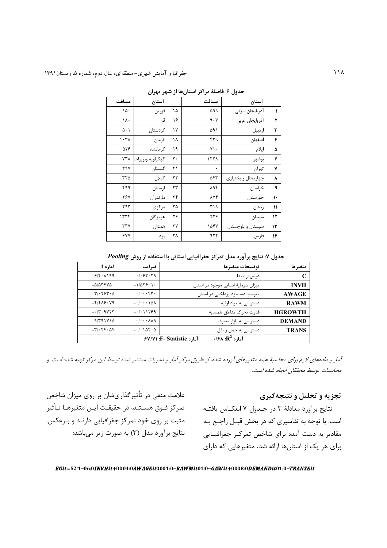|               | ັ                  | ັ<br>◢<br>-200      | ◢  |                  |                          |
|---------------|--------------------|---------------------|----|------------------|--------------------------|
|               | استان              | مسافت               |    | استان            | مسافت                    |
| ١             | آذربايجان شرقي     | ۵۹۹                 | ۱۵ | قزوين            | ١۵٠                      |
| ۲             | أذربايجان غربي     | 9.1                 | ۱۶ | قم               | ١٨٠                      |
| ٣             | اردبيل             | ۵۹۱                 | ۱٧ | كردستان          | $\Delta \cdot$           |
| ۴             | اصفهان             | ۴۳۹                 | ۱۸ | كرمان            | $\lambda + \tau \lambda$ |
| ۵             | ايلام              | $Y \setminus \cdot$ | ۱۹ | کر مانشاه        | 588                      |
| ۶             | بوشهر              | 157 <sub>A</sub>    | ٢٠ | كهگيلويه وبويراح | ٧٣٨                      |
| ٧             | تهران              | $\bullet$           | ۲۱ | گلستان           | ٣٩٧                      |
| ٨             | چهارمحال و بختياري | ۵۴۳                 | ٢٢ | گيلان            | ۳۲۵                      |
| ٩             | خراسان             | ۸۹۴                 | ۲۳ | لرستان           | ۴۹۹                      |
| ١٠            | خوزستان            | <b>AV۴</b>          | ۲۴ | مازندران         | ٢۶٧                      |
| $\mathcal{V}$ | زنجان              | ۳۱۹                 | ۲۵ | مركزي            | ۲۹۳                      |
| ۱۲            | سمنان              | ۲۳۶                 | ۲۶ | هرمز گان         | ۱۳۳۴                     |
| ۱۳            | سیستان و بلوچستان  | ۱۵۶۷                | ٢٧ | همدان            | ٣٣٧                      |
| ۱۴            | فارس               | 979                 | ٢٨ | يزد              | ۶۷٧                      |

حدول ۶: فاصلهٔ مراکز استان ها از شهر تهران

جدول ٧: نتايج برآورد مدل تمركز جغرافيايي استاني با استفاده از روش Pooling

| متغيرها        | توضيحات متغيرها                                                 | ضرايب                                  | آماره t                                   |
|----------------|-----------------------------------------------------------------|----------------------------------------|-------------------------------------------|
|                | عرض از مبدا                                                     | .1.57.79                               | 918.1199                                  |
| <b>INVH</b>    | میزان سرمایهٔ انسانی موجود در استان                             | $-1/\Delta \Upsilon \hat{z} \cdot 1$ . | $-\Delta/\Delta \mathbf{r}$ ۴۷ $\Delta$ . |
| <b>AWAGE</b>   | متوسط دستمزد پرداختی در استان                                   | .1.1.94                                | $T/2.75T - \Delta$                        |
| <b>RAWM</b>    | دسترسی به مواد اولیه                                            | $-1$ $\cdots$ $\Delta\Lambda$          | $-F/F\Lambda$ ۶۰۷۹                        |
| <b>HGROWTH</b> | قدرت تحرک مناطق همسایه                                          | $-11159$                               | $-17.9YYT$                                |
| <b>DEMAND</b>  | دسترسی به بازار مصرف                                            | . / A A9                               | 9/491Y10                                  |
| <b>TRANS</b>   | دسترسی به حمل و نقل                                             | $-1.107.0$                             | $-\mathbf{y}\cdot\mathbf{y}$              |
|                | $\cdot$ /۶۸ :R <sup>2</sup> آماره<br>آماره F- Statistic: ۶۷/۷۱: |                                        |                                           |

آمار و دادههای لازم برای محاسبهٔ همه متغیرهای آورده شده، از طریق مرکز آمار و نشریات منتشر شده توسط این مرکز تهیه شده است. و محاسبات توسط محققان انجام شده است.

تجزیه و تحلیل و نتیجهگیری

است. با توجه به تفاسیری که در بخش قبــل راجــع بــه مقادیر به دست آمده برای شاخص تمرکـز جغرافیـایی برای هر یک از استانها ارائه شد، متغیرهایی که دارای

علامت منفی در تأثیرگذاریشان بر روی میزان شاخص نتايج برآورد معادلهٔ ۳ در جـدول ۷ انعكـاس يافتــه تمركز فــوق هســتند، در حقيقـت ايــن متغيرهــا تــأثير مثبت بر روی خود تمرکز جغرافیایی دارنـد و بـرعکس. نتايج برآورد مدل (۳) به صورت زير ميباشد:

EGit=52/1-06/0INVHit+0004/0AWAGEit0001/0-RAWMit01/0-GAWit+0008/0DEMANDit01/0-TRANSEit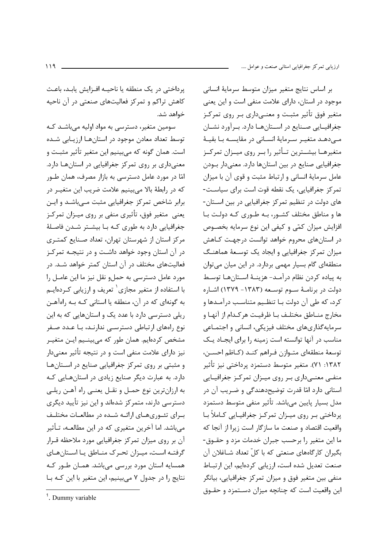يرداختي در يک منطقه يا ناحيــه افـزايش يابـد، باعـث کاهش تراکم و تمرکز فعالیتهای صنعتی در آن ناحیه خواهد شد.

سومین متغیر، دسترسی به مواد اولیه میباشـد کـه توسط تعداد معادن موجود در استان هـا ارزيـابي شـده است. همان گونه که میبینیم این متغیر تأثیر مثبت و معنیداری بر روی تمرکز جغرافیایی در استانها دارد. امّا در مورد عامل دسترسی به بازار مصرف، همان طـور که در رابطهٔ بالا می,بینیم علامت ضریب این متغیـر در برابر شاخص تمرکز جغرافیایی مثبت مے باشـد و ایـن یعنی متغیر فوق، تأثیری منفی بر روی میـزان تمرکـز جغرافیایی دارد به طوری کـه بـا بیشـتر شـدن فاصـلهٔ مرکز استان از شهرستان تهران، تعداد صـنایع کمتـری در آن استان وجود خواهد داشت و در نتیجـه تمرکـز فعالیتهای مختلف در آن استان کمتر خواهد شـد. در مورد عامل دسترسی به حملو نقل نیز ما این عامـل را با استفاده از متغیر مجازی<sup>٬</sup> تعریف و ارزیابی کـردهایـم به گونهای که در آن، منطقه یا استانی کـه بـه راهآهـن ریلی دسترسی دارد با عدد یک و استانهایی که به این ۔<br>نوع رامھای ارتباطی دسترسے ندارنـد، بـا عـدد صـفر مشخص کردهایم. همان طور که میبینیم ایـن متغیـر نیز دارای علامت منفی است و در نتیجه تأثیر معن*ی*دار و مثبتی بر روی تمرکز جغرافیایی صنایع در استانها دارد. به عبارت دیگر صنایع زیادی در استانهایی کـه به ارزانترین نوع حمـل و نقـل یعنـی راه آهـن ریلـی دسترسی دارند، متمرکز شدهاند و این نیز تأیید دیگری بـرای تئـوریهـای ارائــه شــده در مطالعــات مختلــف میباشد. اما آخرین متغیری که در این مطالعـه، تـأثیر آن بر روی میزان تمرکز جغرافیایی مورد ملاحظه قـرار گرفتـه اسـت، میـزان تحـرک منـاطق یـا اسـتانهـای همسایه استان مورد بررسی میباشد. همـان طـور کـه نتایج را در جدول ۷ میبینیم، این متغیر با این کـه بـا

بر اساس نتايج متغير ميزان متوسط سرماية انسانى موجود در استان، دارای علامت منفی است و این یعنی متغیر فوق تأثیر مثبت و معنے داری بے روی تمرکےز جغرافیــایی صــنایع در اســتانهــا دارد. بــرآورد نشــان مے دھـد متغيـر سـرمايۂ انسـانى در مقايسـه بـا بقيـهٔ متغیرهــا بیشــترین تــأثیر را بــر روی میــزان تمرکــز جغرافیایی صنایع در بین استانها دارد. معنیدار بودن عامل سرمايهٔ انسانی و ارتباط مثبت و قوی آن با ميزان تمرکز جغرافیایی، یک نقطه قوت است برای سیاست-های دولت در تنظیم تمرکز جغرافیایی در بین استان-ها و مناطق مختلف کشـور، بـه طـورى کـه دولـت بـا افزایش میزان کمّی و کیفی این نوع سرمایه بخصـوص در استانهای محروم خواهد توانست درجهـت کـاهش میزان تمرکز جغرافیایی و ایجاد یک توسعهٔ هماهنگ منطقهای گام بسیار مهمی بردارد. در این میان میتوان به پياده كردن نظام درآمـد- هزينـهٔ اسـتانهـا توسـط دولت در برنامـهٔ ســوم توسـعه (۱۳۸۳- ۱۳۷۹) اشــا, ه کرد، که طی آن دولت بـا تنظـیم متناسـب درآمـدها و مخارج منــاطق مختلــف بــا ظرفيــت هر كــدام از آنهــا و سرمايه گذارىهاى مختلف فيزيكى، انسانى و اجتمـاعى مناسب در آنها توانسته است زمینه را برای ایجـاد یـک توسعهٔ منطقهای متـوازن فـراهم کنـد (کـاظم احسـن، ۱۳۸۲: ۷۱). متغیر متوسط دستمزد پرداختی نیز تأثیر منفی معنـیداری بـر روی میـزان تمرکـز جغرافیـایی استانی دارد امّا قدرت توضیحدهندگی و ضـریب آن در مدل بسیار پایین مے،باشد. تأثیر منفی متوسط دستمزد پرداختی بر روی میـزان تمرکـز جغرافیـایی کـاملأ بـا واقعيت اقتصاد و صنعت ما سازگار است زيرا از آنجا كه ما این متغیر را برحسب جبران خدمات مزد و حقــوق-بگیران کارگاههای صنعتی که با کلّ تعداد شـاغلان آن صنعت تعدیل شده است، ارزیابی کردهایم، این ارتباط منفی بین متغیر فوق و میزان تمرکز جغرافیایی، بیانگر این واقعیت است که چنانچه میزان دسـتمزد و حقــوق

 $<sup>1</sup>$ . Dummy variable</sup>